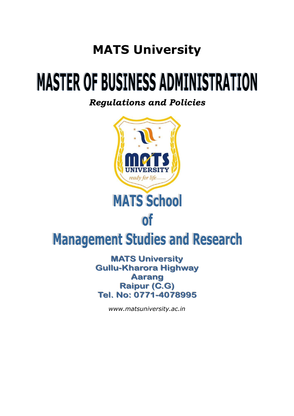# **MATS University**

# **MASTER OF BUSINESS ADMINISTRATION**

*Regulations and Policies*



**Raipur (C.G)** Tel. No: 0771-4078995

*www.matsuniversity.ac.in*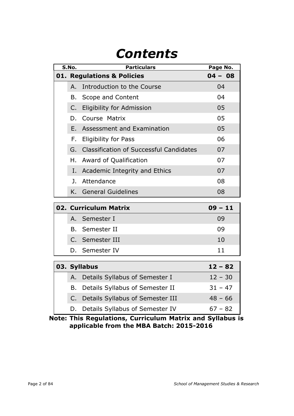# *Contents*

| S.No.                                 |     | <b>Particulars</b>                         | Page No. |  |  |
|---------------------------------------|-----|--------------------------------------------|----------|--|--|
| <b>01. Regulations &amp; Policies</b> |     | $04 - 08$                                  |          |  |  |
|                                       | A.  | Introduction to the Course                 | 04       |  |  |
|                                       |     | B. Scope and Content                       | 04       |  |  |
|                                       | C.  | <b>Eligibility for Admission</b>           | 05       |  |  |
|                                       | D.  | 05                                         |          |  |  |
|                                       | F., | <b>Assessment and Examination</b>          | 05       |  |  |
|                                       |     | F. Eligibility for Pass                    | 06       |  |  |
|                                       |     | G. Classification of Successful Candidates | 07       |  |  |
|                                       |     | H. Award of Qualification                  | 07       |  |  |
|                                       |     | I. Academic Integrity and Ethics           | 07       |  |  |
|                                       |     | J. Attendance                              | 08       |  |  |
|                                       |     | K. General Guidelines                      | 08       |  |  |

|  | 02. Curriculum Matrix | $09 - 11$ |
|--|-----------------------|-----------|
|  | A. Semester I         | 09        |
|  | B. Semester II        | 09        |
|  | C. Semester III       | 10        |
|  | D. Semester IV        |           |

|  | 03. Syllabus                        | $12 - 82$ |
|--|-------------------------------------|-----------|
|  | A. Details Syllabus of Semester I   | $12 - 30$ |
|  | B. Details Syllabus of Semester II  | $31 - 47$ |
|  | C. Details Syllabus of Semester III | $48 - 66$ |
|  | D. Details Syllabus of Semester IV  | $67 - 82$ |

**Note: This Regulations, Curriculum Matrix and Syllabus is applicable from the MBA Batch: 2015-2016**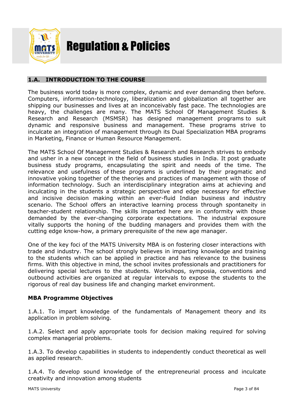

# Regulation & Policies

### **1.A. INTRODUCTION TO THE COURSE**

The business world today is more complex, dynamic and ever demanding then before. Computers, information-technology, liberalization and globalization all together are shipping our businesses and lives at an inconceivably fast pace. The technologies are heavy, the challenges are many. The MATS School Of Management Studies & Research and Research (MSMSR) has designed management programs to suit dynamic and responsive business and management. These programs strive to inculcate an integration of management through its Dual Specialization MBA programs in Marketing, Finance or Human Resource Management.

The MATS School Of Management Studies & Research and Research strives to embody and usher in a new concept in the field of business studies in India. It post graduate business study programs, encapsulating the spirit and needs of the time. The relevance and usefulness of these programs is underlined by their pragmatic and innovative yoking together of the theories and practices of management with those of information technology. Such an interdisciplinary integration aims at achieving and inculcating in the students a strategic perspective and edge necessary for effective and incisive decision making within an ever-fluid Indian business and industry scenario. The School offers an interactive learning process through spontaneity in teacher-student relationship. The skills imparted here are in conformity with those demanded by the ever-changing corporate expectations. The industrial exposure vitally supports the honing of the budding managers and provides them with the cutting edge know-how, a primary prerequisite of the new age manager.

One of the key foci of the MATS University MBA is on fostering closer interactions with trade and industry. The school strongly believes in imparting knowledge and training to the students which can be applied in practice and has relevance to the business firms. With this objective in mind, the school invites professionals and practitioners for delivering special lectures to the students. Workshops, symposia, conventions and outbound activities are organized at regular intervals to expose the students to the rigorous of real day business life and changing market environment.

#### **MBA Programme Objectives**

1.A.1. To impart knowledge of the fundamentals of Management theory and its application in problem solving.

1.A.2. Select and apply appropriate tools for decision making required for solving complex managerial problems.

1.A.3. To develop capabilities in students to independently conduct theoretical as well as applied research.

1.A.4. To develop sound knowledge of the entrepreneurial process and inculcate creativity and innovation among students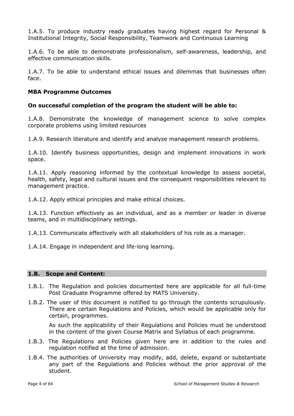1.A.5. To produce industry ready graduates having highest regard for Personal & Institutional Integrity, Social Responsibility, Teamwork and Continuous Learning

1.A.6. To be able to demonstrate professionalism, self-awareness, leadership, and effective communication skills.

1.A.7. To be able to understand ethical issues and dilemmas that businesses often face.

#### **MBA Programme Outcomes**

#### **On successful completion of the program the student will be able to:**

1.A.8. Demonstrate the knowledge of management science to solve complex corporate problems using limited resources

1.A.9. Research literature and identify and analyze management research problems.

1.A.10. Identify business opportunities, design and implement innovations in work space.

1.A.11. Apply reasoning informed by the contextual knowledge to assess societal, health, safety, legal and cultural issues and the consequent responsibilities relevant to management practice.

1.A.12. Apply ethical principles and make ethical choices.

1.A.13. Function effectively as an individual, and as a member or leader in diverse teams, and in multidisciplinary settings.

1.A.13. Communicate effectively with all stakeholders of his role as a manager.

1.A.14. Engage in independent and life-long learning.

#### **1.B. Scope and Content:**

- 1.B.1. The Regulation and policies documented here are applicable for all full-time Post Graduate Programme offered by MATS University.
- 1.B.2. The user of this document is notified to go through the contents scrupulously. There are certain Regulations and Policies, which would be applicable only for certain, programmes.

As such the applicability of their Regulations and Policies must be understood in the content of the given Course Matrix and Syllabus of each programme.

- 1.B.3. The Regulations and Policies given here are in addition to the rules and regulation notified at the time of admission.
- 1.B.4. The authorities of University may modify, add, delete, expand or substantiate any part of the Regulations and Policies without the prior approval of the student.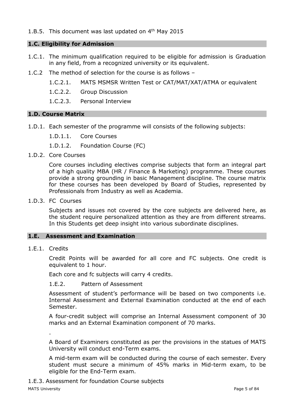#### 1.B.5. This document was last updated on  $4<sup>th</sup>$  May 2015

#### **1.C. Eligibility for Admission**

- 1.C.1. The minimum qualification required to be eligible for admission is Graduation in any field, from a recognized university or its equivalent.
- 1.C.2 The method of selection for the course is as follows
	- 1.C.2.1. MATS MSMSR Written Test or CAT/MAT/XAT/ATMA or equivalent
	- 1.C.2.2. Group Discussion
	- 1.C.2.3. Personal Interview

#### **1.D. Course Matrix**

1.D.1. Each semester of the programme will consists of the following subjects:

1.D.1.1. Core Courses

1.D.1.2. Foundation Course (FC)

1.D.2. Core Courses

Core courses including electives comprise subjects that form an integral part of a high quality MBA (HR / Finance & Marketing) programme. These courses provide a strong grounding in basic Management discipline. The course matrix for these courses has been developed by Board of Studies, represented by Professionals from Industry as well as Academia.

1.D.3. FC Courses

Subjects and issues not covered by the core subjects are delivered here, as the student require personalized attention as they are from different streams. In this Students get deep insight into various subordinate disciplines.

#### **1.E. Assessment and Examination**

1.E.1. Credits

Credit Points will be awarded for all core and FC subjects. One credit is equivalent to 1 hour.

Each core and fc subjects will carry 4 credits.

1.E.2. Pattern of Assessment

Assessment of student's performance will be based on two components i.e. Internal Assessment and External Examination conducted at the end of each Semester.

A four-credit subject will comprise an Internal Assessment component of 30 marks and an External Examination component of 70 marks.

A Board of Examiners constituted as per the provisions in the statues of MATS University will conduct end-Term exams.

A mid-term exam will be conducted during the course of each semester. Every student must secure a minimum of 45% marks in Mid-term exam, to be eligible for the End-Term exam.

1.E.3. Assessment for foundation Course subjects

.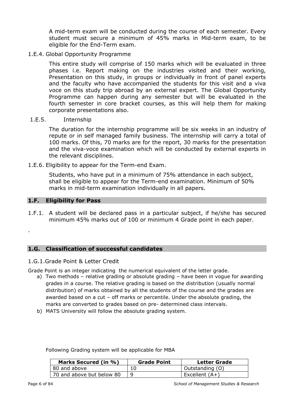A mid-term exam will be conducted during the course of each semester. Every student must secure a minimum of 45% marks in Mid-term exam, to be eligible for the End-Term exam.

#### 1.E.4. Global Opportunity Programme

This entire study will comprise of 150 marks which will be evaluated in three phases i.e. Report making on the industries visited and their working, Presentation on this study, in groups or individually in front of panel experts and the faculty who have accompanied the students for this visit and a viva voce on this study trip abroad by an external expert. The Global Opportunity Programme can happen during any semester but will be evaluated in the fourth semester in core bracket courses, as this will help them for making corporate presentations also.

#### 1.E.5. Internship

The duration for the internship programme will be six weeks in an industry of repute or in self managed family business. The internship will carry a total of 100 marks. Of this, 70 marks are for the report, 30 marks for the presentation and the viva-voce examination which will be conducted by external experts in the relevant disciplines.

1.E.6. Eligibility to appear for the Term-end Exam.

Students, who have put in a minimum of 75% attendance in each subject, shall be eligible to appear for the Term-end examination. Minimum of 50% marks in mid-term examination individually in all papers.

#### **1.F. Eligibility for Pass**

.

1.F.1. A student will be declared pass in a particular subject, if he/she has secured minimum 45% marks out of 100 or minimum 4 Grade point in each paper.

#### **1.G. Classification of successful candidates**

#### 1.G.1.Grade Point & Letter Credit

Grade Point is an integer indicating the numerical equivalent of the letter grade.

- a) Two methods relative grading or absolute grading have been in vogue for awarding grades in a course. The relative grading is based on the distribution (usually normal distribution) of marks obtained by all the students of the course and the grades are awarded based on a cut – off marks or percentile. Under the absolute grading, the marks are converted to grades based on pre- determined class intervals.
- b) MATS University will follow the absolute grading system.

| Marks Secured (in %)      | <b>Grade Point</b> | Letter Grade    |
|---------------------------|--------------------|-----------------|
| 80 and above              |                    | Outstanding (O) |
| 70 and above but below 80 |                    | Excellent (A+)  |

Following Grading system will be applicable for MBA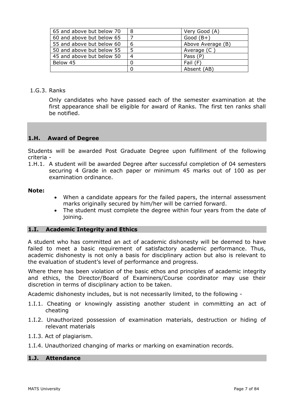| 65 and above but below 70 | 8 | Very Good (A)     |
|---------------------------|---|-------------------|
| 60 and above but below 65 |   | Good $(B+)$       |
| 55 and above but below 60 | 6 | Above Average (B) |
| 50 and above but below 55 |   | Average (C        |
| 45 and above but below 50 |   | Pass (P)          |
| Below 45                  |   | Fail (F)          |
|                           |   | Absent (AB)       |

#### 1.G.3. Ranks

Only candidates who have passed each of the semester examination at the first appearance shall be eligible for award of Ranks. The first ten ranks shall be notified.

#### **1.H. Award of Degree**

Students will be awarded Post Graduate Degree upon fulfillment of the following criteria -

1.H.1. A student will be awarded Degree after successful completion of 04 semesters securing 4 Grade in each paper or minimum 45 marks out of 100 as per examination ordinance.

#### **Note:**

- When a candidate appears for the failed papers, the internal assessment marks originally secured by him/her will be carried forward.
- The student must complete the degree within four years from the date of joining.

#### **1.I. Academic Integrity and Ethics**

A student who has committed an act of academic dishonesty will be deemed to have failed to meet a basic requirement of satisfactory academic performance. Thus, academic dishonesty is not only a basis for disciplinary action but also is relevant to the evaluation of student's level of performance and progress.

Where there has been violation of the basic ethos and principles of academic integrity and ethics, the Director/Board of Examiners/Course coordinator may use their discretion in terms of disciplinary action to be taken.

Academic dishonesty includes, but is not necessarily limited, to the following -

- 1.I.1. Cheating or knowingly assisting another student in committing an act of cheating
- 1.I.2. Unauthorized possession of examination materials, destruction or hiding of relevant materials
- 1.I.3. Act of plagiarism.
- 1.I.4. Unauthorized changing of marks or marking on examination records.

#### **1.J. Attendance**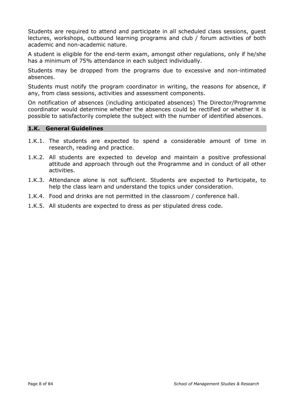Students are required to attend and participate in all scheduled class sessions, guest lectures, workshops, outbound learning programs and club / forum activities of both academic and non-academic nature.

A student is eligible for the end-term exam, amongst other regulations, only if he/she has a minimum of 75% attendance in each subject individually.

Students may be dropped from the programs due to excessive and non-intimated absences.

Students must notify the program coordinator in writing, the reasons for absence, if any, from class sessions, activities and assessment components.

On notification of absences (including anticipated absences) The Director/Programme coordinator would determine whether the absences could be rectified or whether it is possible to satisfactorily complete the subject with the number of identified absences.

#### **1.K. General Guidelines**

- 1.K.1. The students are expected to spend a considerable amount of time in research, reading and practice.
- 1.K.2. All students are expected to develop and maintain a positive professional attitude and approach through out the Programme and in conduct of all other activities.
- 1.K.3. Attendance alone is not sufficient. Students are expected to Participate, to help the class learn and understand the topics under consideration.
- 1.K.4. Food and drinks are not permitted in the classroom / conference hall.
- 1.K.5. All students are expected to dress as per stipulated dress code.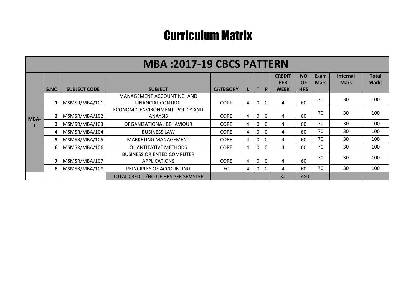# Curriculum Matrix

|             |      |                     | <b>MBA:2017-19 CBCS PATTERN</b>                          |                 |   |   |              |                             |                        |                     |                                |                              |
|-------------|------|---------------------|----------------------------------------------------------|-----------------|---|---|--------------|-----------------------------|------------------------|---------------------|--------------------------------|------------------------------|
|             |      |                     |                                                          |                 |   |   |              | <b>CREDIT</b><br><b>PER</b> | <b>NO</b><br><b>OF</b> | Exam<br><b>Mars</b> | <b>Internal</b><br><b>Mars</b> | <b>Total</b><br><b>Marks</b> |
|             | S.NO | <b>SUBJECT CODE</b> | <b>SUBJECT</b>                                           | <b>CATEGORY</b> |   | т | P            | <b>WEEK</b>                 | <b>HRS</b>             |                     |                                |                              |
|             |      | MSMSR/MBA/101       | MANAGEMENT ACCOUNTING AND<br><b>FINANCIAL CONTROL</b>    | <b>CORE</b>     | 4 |   | $\mathbf{0}$ | 4                           | 60                     | 70                  | 30                             | 100                          |
|             |      | MSMSR/MBA/102       | ECONOMIC ENVIRONMENT : POLICY AND<br><b>ANAYSIS</b>      | <b>CORE</b>     | 4 |   | $\Omega$     | 4                           | 60                     | 70                  | 30                             | 100                          |
| <b>MBA-</b> | 3    | MSMSR/MBA/103       | ORGANIZATIONAL BEHAVIOUR                                 | <b>CORE</b>     | 4 |   | 0            | 4                           | 60                     | 70                  | 30                             | 100                          |
|             | 4    | MSMSR/MBA/104       | <b>BUSINESS LAW</b>                                      | <b>CORE</b>     | 4 |   |              | 4                           | 60                     | 70                  | 30                             | 100                          |
|             |      | MSMSR/MBA/105       | <b>MARKETING MANAGEMENT</b>                              | <b>CORE</b>     | 4 |   | $\Omega$     | 4                           | 60                     | 70                  | 30                             | 100                          |
|             | 6    | MSMSR/MBA/106       | <b>QUANTITATIVE METHODS</b>                              | <b>CORE</b>     | 4 |   | 0            | 4                           | 60                     | 70                  | 30                             | 100                          |
|             |      | MSMSR/MBA/107       | <b>BUSINESS ORIENTED COMPUTER</b><br><b>APPLICATIONS</b> | <b>CORE</b>     | 4 |   | $\Omega$     | 4                           | 60                     | 70                  | 30                             | 100                          |
|             | 8    | MSMSR/MBA/108       | PRINCIPLES OF ACCOUNTING                                 | <b>FC</b>       | 4 |   | $\Omega$     | 4                           | 60                     | 70                  | 30                             | 100                          |
|             |      |                     | TOTAL CREDIT / NO OF HRS PER SEMSTER                     |                 |   |   |              | 32                          | 480                    |                     |                                |                              |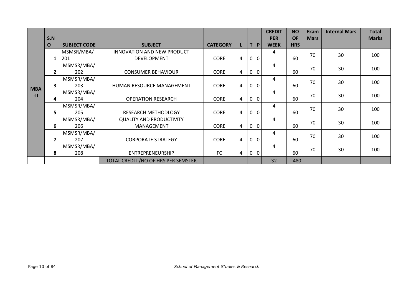|            |                         |                     |                                      |                 |                |                |                | <b>CREDIT</b> | <b>NO</b>  | Exam        | <b>Internal Mars</b> | <b>Total</b> |
|------------|-------------------------|---------------------|--------------------------------------|-----------------|----------------|----------------|----------------|---------------|------------|-------------|----------------------|--------------|
|            | S.N                     |                     |                                      |                 |                |                |                | <b>PER</b>    | <b>OF</b>  | <b>Mars</b> |                      | <b>Marks</b> |
|            | $\mathbf 0$             | <b>SUBJECT CODE</b> | <b>SUBJECT</b>                       | <b>CATEGORY</b> |                | T              | P              | <b>WEEK</b>   | <b>HRS</b> |             |                      |              |
|            |                         | MSMSR/MBA/          | INNOVATION AND NEW PRODUCT           |                 |                |                |                | 4             |            | 70          | 30                   | 100          |
|            | 1                       | 201                 | DEVELOPMENT                          | <b>CORE</b>     | 4              | $\overline{0}$ | $\mathbf 0$    |               | 60         |             |                      |              |
|            |                         | MSMSR/MBA/          |                                      |                 |                |                |                | 4             |            | 70          | 30                   | 100          |
|            | $\overline{2}$          | 202                 | <b>CONSUMER BEHAVIOUR</b>            | <b>CORE</b>     | 4              |                | 0 0            |               | 60         |             |                      |              |
|            |                         | MSMSR/MBA/          |                                      |                 |                |                |                | 4             |            | 70          | 30                   | 100          |
| <b>MBA</b> | 3                       | 203                 | HUMAN RESOURCE MANAGEMENT            | <b>CORE</b>     | 4              | $\overline{0}$ | $\overline{0}$ |               | 60         |             |                      |              |
| $-11$      |                         | MSMSR/MBA/          |                                      |                 |                |                |                | 4             |            | 70          | 30                   | 100          |
|            | 4                       | 204                 | <b>OPERATION RESEARCH</b>            | <b>CORE</b>     | 4              | $\overline{0}$ | $\mathbf 0$    |               | 60         |             |                      |              |
|            |                         | MSMSR/MBA/          |                                      |                 |                |                |                | 4             |            | 70          | 30                   | 100          |
|            | 5                       | 205                 | <b>RESEARCH METHODLOGY</b>           | <b>CORE</b>     | $\overline{4}$ |                | 0 0            |               | 60         |             |                      |              |
|            |                         | MSMSR/MBA/          | <b>QUALITY AND PRODUCTIVITY</b>      |                 |                |                |                | 4             |            | 70          | 30                   | 100          |
|            | 6                       | 206                 | MANAGEMENT                           | <b>CORE</b>     | $\overline{4}$ | $\overline{0}$ | $\mathbf 0$    |               | 60         |             |                      |              |
|            |                         | MSMSR/MBA/          |                                      |                 |                |                |                | 4             |            | 70          | 30                   | 100          |
|            | $\overline{\mathbf{z}}$ | 207                 | <b>CORPORATE STRATEGY</b>            | <b>CORE</b>     | $\overline{4}$ | 0              | $\mathbf 0$    |               | 60         |             |                      |              |
|            |                         | MSMSR/MBA/          |                                      |                 |                |                |                | 4             |            | 70          | 30                   | 100          |
|            | 8                       | 208                 | ENTREPRENEURSHIP                     | FC              | $\overline{4}$ | $\overline{0}$ | $\overline{0}$ |               | 60         |             |                      |              |
|            |                         |                     | TOTAL CREDIT / NO OF HRS PER SEMSTER |                 |                |                |                | 32            | 480        |             |                      |              |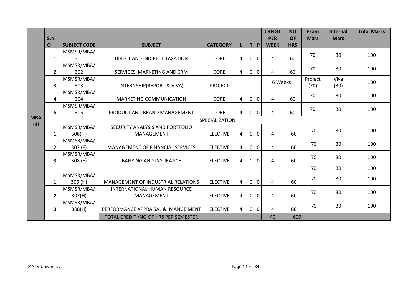|            |                |                     |                                           |                 |                |                          |              | <b>CREDIT</b>  | <b>NO</b>  | Exam        | <b>Internal</b> | <b>Total Marks</b> |
|------------|----------------|---------------------|-------------------------------------------|-----------------|----------------|--------------------------|--------------|----------------|------------|-------------|-----------------|--------------------|
|            | S.N            |                     |                                           |                 |                |                          |              | <b>PER</b>     | <b>OF</b>  | <b>Mars</b> | <b>Mars</b>     |                    |
|            | $\mathbf 0$    | <b>SUBJECT CODE</b> | <b>SUBJECT</b>                            | <b>CATEGORY</b> |                | Τİ                       | P            | <b>WEEK</b>    | <b>HRS</b> |             |                 |                    |
|            |                | MSMSR/MBA/          |                                           |                 |                |                          |              |                |            | 70          | 30              | 100                |
|            | $\mathbf{1}$   | 301                 | DIRECT AND INDIRECT TAXATION              | <b>CORE</b>     | $\overline{4}$ | $\mathbf 0$              | $\mathbf 0$  | $\overline{4}$ | 60         |             |                 |                    |
|            |                | MSMSR/MBA/          |                                           |                 |                |                          |              |                |            | 70          | 30              | 100                |
|            | $\overline{2}$ | 302                 | SERVICES MARKETING AND CRM                | <b>CORE</b>     | 4              | 0                        | $\mathbf 0$  | $\overline{4}$ | 60         |             |                 |                    |
|            |                | MSMSR/MBA/          |                                           |                 |                |                          |              | 6 Weeks        |            | Project     | Viva            | 100                |
|            | 3              | 303                 | <b>INTERNSHIP(REPORT &amp; VIVA)</b>      | <b>PROJECT</b>  |                | $\overline{\phantom{0}}$ |              |                |            | (70)        | (30)            |                    |
|            |                | MSMSR/MBA/          |                                           |                 |                |                          |              |                |            | 70          | 30              | 100                |
|            | 4              | 304                 | <b>MARKETING COMMUNICATION</b>            | <b>CORE</b>     | 4              | $\mathbf 0$              | $\mathbf 0$  | $\overline{4}$ | 60         |             |                 |                    |
|            |                | MSMSR/MBA/          |                                           |                 |                |                          |              |                |            | 70          | 30              | 100                |
|            | 5 <sup>1</sup> | 305                 | PRODUCT AND BRAND MANAGEMENT              | <b>CORE</b>     | $\overline{4}$ | $\mathbf 0$              | $\mathbf{0}$ | 4              | 60         |             |                 |                    |
| <b>MBA</b> |                | SPECIALIZATION      |                                           |                 |                |                          |              |                |            |             |                 |                    |
| $-III$     |                | MSMSR/MBA/          | SECURITY ANALYSIS AND PORTFOLIO           |                 |                |                          |              |                |            |             |                 |                    |
|            | $\mathbf{1}$   | 306(F)              | MANAGEMENT                                | <b>ELECTIVE</b> | 4              | $\mathbf 0$              | $\mathbf{0}$ | $\overline{4}$ | 60         | 70          | 30              | 100                |
|            |                | MSMSR/MBA/          |                                           |                 |                |                          |              |                |            |             |                 |                    |
|            | $2^{\circ}$    | 307 (F)             | MANAGEMENT OF FINANCIAL SERVICES          | <b>ELECTIVE</b> | $\overline{4}$ | $\mathbf{0}$             | $\mathbf 0$  | 4              | 60         | 70          | 30              | 100                |
|            |                | MSMSR/MBA/          |                                           |                 |                |                          |              |                |            |             |                 |                    |
|            | 3              | 308 (F)             | <b>BANKING AND INSURANCE</b>              | <b>ELECTIVE</b> | $\overline{4}$ | $\mathbf 0$              | $\mathbf 0$  | $\overline{4}$ | 60         | 70          | 30              | 100                |
|            |                |                     |                                           |                 |                |                          |              |                |            | 70          | 30              | 100                |
|            |                | MSMSR/MBA/          |                                           |                 |                |                          |              |                |            |             |                 |                    |
|            | $\mathbf{1}$   | 306 (H)             | <b>MANAGEMENT OF INDUSTRIAL RELATIONS</b> | <b>ELECTIVE</b> | 4              | $\overline{0}$           | $\mathbf 0$  | 4              | 60         | 70          | 30              | 100                |
|            |                | MSMSR/MBA/          | <b>INTERNATIONAL HUMAN RESOURCE</b>       |                 |                |                          |              |                |            |             |                 |                    |
|            | $\mathbf{2}$   | 307(H)              | MANAGEMENT                                | <b>ELECTIVE</b> | $\overline{4}$ | $\mathbf 0$              | $\mathbf{0}$ | $\pmb{4}$      | 60         | 70          | 30              | 100                |
|            |                | MSMSR/MBA/          |                                           |                 |                |                          |              |                |            |             |                 |                    |
|            | 3              | 308(H)              | PERFORMANCE APPRAISAL & MANGE MENT        | <b>ELECTIVE</b> | $\overline{4}$ | $\overline{0}$           | $\mathbf 0$  | $\overline{4}$ | 60         | 70          | 30              | 100                |
|            |                |                     | TOTAL CREDIT / NO OF HRS PER SEMESTER     |                 |                |                          |              | 40             | 600        |             |                 |                    |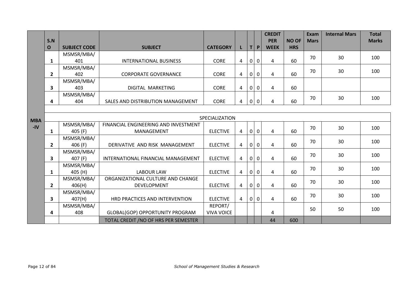|            |                         |                     |                                       |                   |                |                |              | <b>CREDIT</b>           |              | <b>Exam</b> | <b>Internal Mars</b> | <b>Total</b> |  |
|------------|-------------------------|---------------------|---------------------------------------|-------------------|----------------|----------------|--------------|-------------------------|--------------|-------------|----------------------|--------------|--|
|            | S.N                     |                     |                                       |                   |                |                |              | <b>PER</b>              | <b>NO OF</b> | <b>Mars</b> |                      | <b>Marks</b> |  |
|            | $\mathbf 0$             | <b>SUBJECT CODE</b> | <b>SUBJECT</b>                        | <b>CATEGORY</b>   |                | Τl             | P            | <b>WEEK</b>             | <b>HRS</b>   |             |                      |              |  |
|            |                         | MSMSR/MBA/          |                                       |                   |                |                |              |                         |              | 70          | 30                   | 100          |  |
|            | $\mathbf{1}$            | 401                 | <b>INTERNATIONAL BUSINESS</b>         | <b>CORE</b>       | $\overline{4}$ | $\overline{0}$ | $\mathbf 0$  | $\overline{4}$          | 60           |             |                      |              |  |
|            |                         | MSMSR/MBA/          |                                       |                   |                |                |              |                         |              | 70          | 30                   | 100          |  |
|            | $\overline{2}$          | 402                 | <b>CORPORATE GOVERNANCE</b>           | <b>CORE</b>       | 4              | $\mathbf 0$    | 0            | $\overline{\mathbf{4}}$ | 60           |             |                      |              |  |
|            |                         | MSMSR/MBA/          |                                       |                   |                |                |              |                         |              |             |                      |              |  |
|            | $\overline{\mathbf{3}}$ | 403                 | DIGITAL MARKETING                     | <b>CORE</b>       | 4              | $\mathbf{0}$   | $\mathbf 0$  | $\overline{4}$          | 60           |             |                      |              |  |
|            |                         | MSMSR/MBA/          |                                       |                   |                |                |              |                         |              | 70          | 30                   | 100          |  |
|            | 4                       | 404                 | SALES AND DISTRIBUTION MANAGEMENT     | <b>CORE</b>       | $\overline{4}$ | $\bf{0}$       | 0            | 4                       | 60           |             |                      |              |  |
|            |                         |                     |                                       |                   |                |                |              |                         |              |             |                      |              |  |
| <b>MBA</b> | SPECIALIZATION          |                     |                                       |                   |                |                |              |                         |              |             |                      |              |  |
| $-IV$      |                         | MSMSR/MBA/          | FINANCIAL ENGINEERING AND INVESTMENT  |                   |                |                |              |                         |              | 70          | 30                   | 100          |  |
|            | $\mathbf{1}$            | 405 (F)             | MANAGEMENT                            | <b>ELECTIVE</b>   | 4              | $\mathbf 0$    | $\mathbf 0$  | $\overline{4}$          | 60           |             |                      |              |  |
|            |                         | MSMSR/MBA/          |                                       |                   |                |                |              |                         |              | 70          | 30                   | 100          |  |
|            | $\mathbf{2}$            | 406 (F)             | DERIVATIVE AND RISK MANAGEMENT        | <b>ELECTIVE</b>   | 4              | $\overline{0}$ | $\mathbf 0$  | 4                       | 60           |             |                      |              |  |
|            |                         | MSMSR/MBA/          |                                       |                   |                |                |              |                         |              | 70          | 30                   | 100          |  |
|            | 3                       | 407 (F)             | INTERNATIONAL FINANCIAL MANAGEMENT    | <b>ELECTIVE</b>   | $\overline{4}$ | $\mathbf 0$    | $\mathbf 0$  | $\overline{a}$          | 60           |             |                      |              |  |
|            |                         | MSMSR/MBA/          |                                       |                   |                |                |              |                         |              | 70          | 30                   | 100          |  |
|            | $\mathbf{1}$            | 405 (H)             | <b>LABOUR LAW</b>                     | <b>ELECTIVE</b>   | 4              | $\mathbf 0$    | $\mathbf{0}$ | 4                       | 60           |             |                      |              |  |
|            |                         | MSMSR/MBA/          | ORGANIZATIONAL CULTURE AND CHANGE     |                   |                |                |              |                         |              | 70          | 30                   | 100          |  |
|            | $\overline{2}$          | 406(H)              | <b>DEVELOPMENT</b>                    | <b>ELECTIVE</b>   | $\overline{4}$ | 0              | $\mathbf 0$  | $\overline{4}$          | 60           |             |                      |              |  |
|            |                         | MSMSR/MBA/          |                                       |                   |                |                |              |                         |              | 70          | 30                   | 100          |  |
|            | $\overline{\mathbf{3}}$ | 407(H)              | HRD PRACTICES AND INTERVENTION        | <b>ELECTIVE</b>   | $\overline{4}$ | $\mathbf{0}$   | $\mathbf{0}$ | 4                       | 60           |             |                      |              |  |
|            |                         | MSMSR/MBA/          |                                       | REPORT/           |                |                |              |                         |              | 50          | 50                   | 100          |  |
|            | 4                       | 408                 | GLOBAL(GOP) OPPORTUNITY PROGRAM       | <b>VIVA VOICE</b> |                |                |              | 4                       |              |             |                      |              |  |
|            |                         |                     | TOTAL CREDIT / NO OF HRS PER SEMESTER |                   |                |                |              | 44                      | 600          |             |                      |              |  |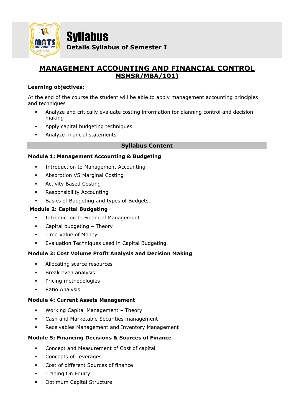

Syllabus **Details Syllabus of Semester I**

# **MANAGEMENT ACCOUNTING AND FINANCIAL CONTROL MSMSR/MBA/101)**

#### **Learning objectives:**

At the end of the course the student will be able to apply management accounting principles and techniques

- **•** Analyze and critically evaluate costing information for planning control and decision making
- Apply capital budgeting techniques
- Analyze financial statements

#### **Syllabus Content**

#### **Module 1: Management Accounting & Budgeting**

- Introduction to Management Accounting
- Absorption VS Marginal Costing
- **Activity Based Costing**
- Responsibility Accounting
- Basics of Budgeting and types of Budgets.

#### **Module 2: Capital Budgeting**

- **•** Introduction to Financial Management
- Capital budgeting Theory
- Time Value of Money
- Evaluation Techniques used in Capital Budgeting.

#### **Module 3: Cost Volume Profit Analysis and Decision Making**

- **EXECUTE:** Allocating scarce resources
- **■** Break even analysis
- Pricing methodologies
- Ratio Analysis

#### **Module 4: Current Assets Management**

- Working Capital Management Theory
- Cash and Marketable Securities management
- Receivables Management and Inventory Management

#### **Module 5: Financing Decisions & Sources of Finance**

- Concept and Measurement of Cost of capital
- Concepts of Leverages
- Cost of different Sources of finance
- **•** Trading On Equity
- Optimum Capital Structure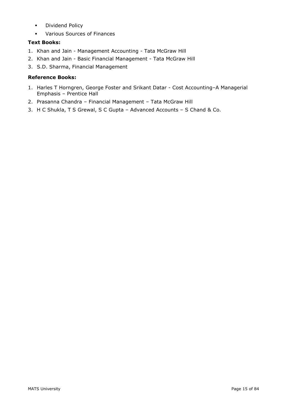- **■** Dividend Policy
- Various Sources of Finances

#### **Text Books:**

- 1. Khan and Jain Management Accounting Tata McGraw Hill
- 2. Khan and Jain Basic Financial Management Tata McGraw Hill
- 3. S.D. Sharma, Financial Management

#### **Reference Books:**

- 1. Harles T Horngren, George Foster and Srikant Datar Cost Accounting–A Managerial Emphasis – Prentice Hall
- 2. Prasanna Chandra Financial Management Tata McGraw Hill
- 3. H C Shukla, T S Grewal, S C Gupta Advanced Accounts S Chand & Co.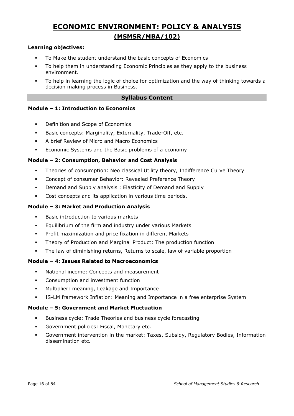# **ECONOMIC ENVIRONMENT: POLICY & ANALYSIS (MSMSR/MBA/102)**

#### **Learning objectives:**

- To Make the student understand the basic concepts of Economics
- To help them in understanding Economic Principles as they apply to the business environment.
- To help in learning the logic of choice for optimization and the way of thinking towards a decision making process in Business.

#### **Syllabus Content**

#### **Module – 1: Introduction to Economics**

- Definition and Scope of Economics
- Basic concepts: Marginality, Externality, Trade-Off, etc.
- A brief Review of Micro and Macro Economics
- **Example 3** Economic Systems and the Basic problems of a economy

#### **Module – 2: Consumption, Behavior and Cost Analysis**

- Theories of consumption: Neo classical Utility theory, Indifference Curve Theory
- Concept of consumer Behavior: Revealed Preference Theory
- Demand and Supply analysis : Elasticity of Demand and Supply
- Cost concepts and its application in various time periods.

#### **Module – 3: Market and Production Analysis**

- Basic introduction to various markets
- Equilibrium of the firm and industry under various Markets
- Profit maximization and price fixation in different Markets
- Theory of Production and Marginal Product: The production function
- The law of diminishing returns, Returns to scale, law of variable proportion

#### **Module – 4: Issues Related to Macroeconomics**

- National income: Concepts and measurement
- **•** Consumption and investment function
- Multiplier: meaning, Leakage and Importance
- **•** IS-LM framework Inflation: Meaning and Importance in a free enterprise System

#### **Module – 5: Government and Market Fluctuation**

- Business cycle: Trade Theories and business cycle forecasting
- **•** Government policies: Fiscal, Monetary etc.
- Government intervention in the market: Taxes, Subsidy, Regulatory Bodies, Information dissemination etc.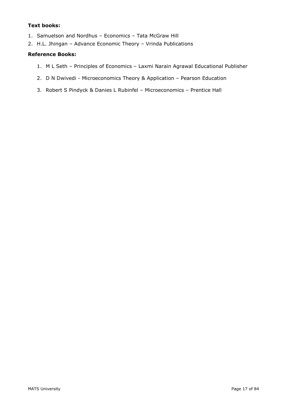#### **Text books:**

- 1. Samuelson and Nordhus Economics Tata McGraw Hill
- 2. H.L. Jhingan Advance Economic Theory Vrinda Publications

#### **Reference Books:**

- 1. M L Seth Principles of Economics Laxmi Narain Agrawal Educational Publisher
- 2. D N Dwivedi Microeconomics Theory & Application Pearson Education
- 3. Robert S Pindyck & Danies L Rubinfel Microeconomics Prentice Hall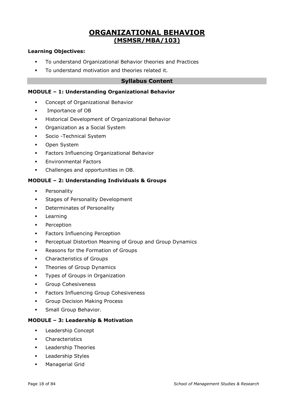# **ORGANIZATIONAL BEHAVIOR (MSMSR/MBA/103)**

#### **Learning Objectives:**

- To understand Organizational Behavior theories and Practices
- To understand motivation and theories related it.

#### **Syllabus Content**

#### **MODULE – 1: Understanding Organizational Behavior**

- **•** Concept of Organizational Behavior
- Importance of OB
- **Historical Development of Organizational Behavior**
- Organization as a Social System
- **•** Socio Technical System
- Open System
- Factors Influencing Organizational Behavior
- **Environmental Factors**
- Challenges and opportunities in OB.

#### **MODULE – 2: Understanding Individuals & Groups**

- **•** Personality
- **EXEC** Stages of Personality Development
- **•** Determinates of Personality
- **Learning**
- Perception
- **•** Factors Influencing Perception
- **Perceptual Distortion Meaning of Group and Group Dynamics**
- Reasons for the Formation of Groups
- Characteristics of Groups
- **•** Theories of Group Dynamics
- **•** Types of Groups in Organization
- **Group Cohesiveness**
- **•** Factors Influencing Group Cohesiveness
- **Group Decision Making Process**
- **·** Small Group Behavior.

#### **MODULE – 3: Leadership & Motivation**

- Leadership Concept
- Characteristics
- Leadership Theories
- Leadership Styles
- Managerial Grid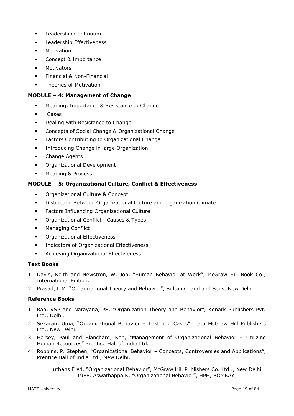- Leadership Continuum
- Leadership Effectiveness
- Motivation
- Concept & Importance
- Motivators
- Financial & Non-Financial
- **•** Theories of Motivation

#### **MODULE – 4: Management of Change**

- Meaning, Importance & Resistance to Change
- **Cases**
- Dealing with Resistance to Change
- Concepts of Social Change & Organizational Change
- Factors Contributing to Organizational Change
- **•** Introducing Change in large Organization
- Change Agents
- Organizational Development
- **■** Meaning & Process.

#### **MODULE – 5: Organizational Culture, Conflict & Effectiveness**

- Organizational Culture & Concept
- Distinction Between Organizational Culture and organization Climate
- Factors Influencing Organizational Culture
- **•** Organizational Conflict, Causes & Types
- Managing Conflict
- Organizational Effectiveness
- **•** Indicators of Organizational Effectiveness
- **•** Achieving Organizational Effectiveness.

#### **Text Books**

- 1. Davis, Keith and Newstron, W. Joh, "Human Behavior at Work", McGraw Hill Book Co., International Edition.
- 2. Prasad, L.M. "Organizational Theory and Behavior", Sultan Chand and Sons, New Delhi.

#### **Reference Books**

- 1. Rao, VSP and Narayana, PS, "Organization Theory and Behavior", Konark Publishers Pvt. Ltd., Delhi.
- 2. Sekaran, Uma, "Organizational Behavior Text and Cases", Tata McGraw Hill Publishers Ltd., New Delhi.
- 3. Hersey, Paul and Blanchard, Ken, "Management of Organizational Behavior Utilizing Human Resources" Prentice Hall of India Ltd.
- 4. Robbins, P. Stephen, "Organizational Behavior Concepts, Controversies and Applications", Prentice Hall of India Ltd., New Delhi.

Luthans Fred, "Organizational Behavior", McGraw Hill Publishers Co. Ltd.., New Delhi 1988. Aswathappa K, "Organizational Behavior", HPH, BOMBAY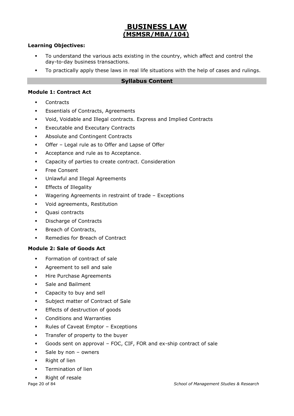# **BUSINESS LAW (MSMSR/MBA/104)**

#### **Learning Objectives:**

- To understand the various acts existing in the country, which affect and control the day-to-day business transactions.
- **•** To practically apply these laws in real life situations with the help of cases and rulings.

#### **Syllabus Content**

#### **Module 1: Contract Act**

- **Contracts**
- **Essentials of Contracts, Agreements**
- Void, Voidable and Illegal contracts. Express and Implied Contracts
- **Executable and Executary Contracts**
- Absolute and Contingent Contracts
- Offer Legal rule as to Offer and Lapse of Offer
- Acceptance and rule as to Acceptance.
- Capacity of parties to create contract. Consideration
- Free Consent
- Unlawful and Illegal Agreements
- **Effects of Illegality**
- Wagering Agreements in restraint of trade Exceptions
- Void agreements, Restitution
- Quasi contracts
- Discharge of Contracts
- Breach of Contracts,
- Remedies for Breach of Contract

#### **Module 2: Sale of Goods Act**

- Formation of contract of sale
- Agreement to sell and sale
- **■** Hire Purchase Agreements
- Sale and Bailment
- Capacity to buy and sell
- **Subject matter of Contract of Sale**
- **Effects of destruction of goods**
- Conditions and Warranties
- Rules of Caveat Emptor Exceptions
- **·** Transfer of property to the buyer
- Goods sent on approval FOC, CIF, FOR and ex-ship contract of sale
- Sale by non  $-$  owners
- Right of lien
- Termination of lien
- Right of resale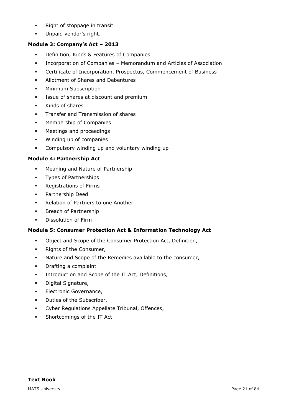- Right of stoppage in transit
- **·** Unpaid vendor's right.

#### **Module 3: Company's Act – 2013**

- Definition, Kinds & Features of Companies
- Incorporation of Companies Memorandum and Articles of Association
- Certificate of Incorporation. Prospectus, Commencement of Business
- Allotment of Shares and Debentures
- **•** Minimum Subscription
- **EXEC** Issue of shares at discount and premium
- Kinds of shares
- **•** Transfer and Transmission of shares
- Membership of Companies
- Meetings and proceedings
- Winding up of companies
- Compulsory winding up and voluntary winding up

#### **Module 4: Partnership Act**

- Meaning and Nature of Partnership
- Types of Partnerships
- Registrations of Firms
- Partnership Deed
- Relation of Partners to one Another
- **■** Breach of Partnership
- **•** Dissolution of Firm

#### **Module 5: Consumer Protection Act & Information Technology Act**

- Object and Scope of the Consumer Protection Act, Definition,
- Rights of the Consumer,
- Nature and Scope of the Remedies available to the consumer,
- Drafting a complaint
- **•** Introduction and Scope of the IT Act, Definitions,
- Digital Signature,
- **Electronic Governance,**
- Duties of the Subscriber,
- Cyber Regulations Appellate Tribunal, Offences,
- **•** Shortcomings of the IT Act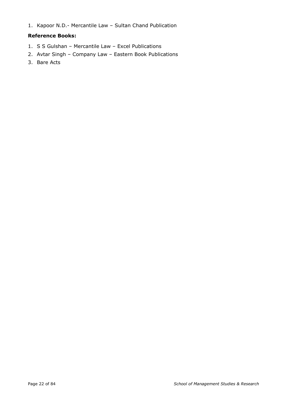1. Kapoor N.D.- Mercantile Law – Sultan Chand Publication

#### **Reference Books:**

- 1. S S Gulshan Mercantile Law Excel Publications
- 2. Avtar Singh Company Law Eastern Book Publications
- 3. Bare Acts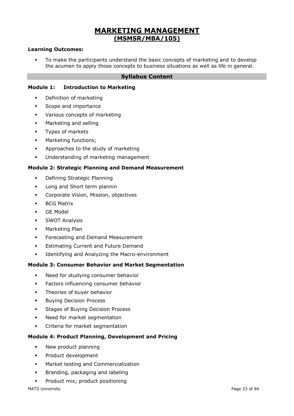# **MARKETING MANAGEMENT (MSMSR/MBA/105)**

#### **Learning Outcomes:**

To make the participants understand the basic concepts of marketing and to develop the acumen to apply those concepts to business situations as well as life in general.

#### **Syllabus Content**

#### **Module 1: Introduction to Marketing**

- Definition of marketing
- Scope and importance
- Various concepts of marketing
- **■** Marketing and selling
- Types of markets
- **■** Marketing functions:
- Approaches to the study of marketing
- Understanding of marketing management

#### **Module 2: Strategic Planning and Demand Measurement**

- Defining Strategic Planning
- **•** Long and Short term plannin
- Corporate Vision, Mission, objectives
- BCG Matrix
- GE Model
- **•** SWOT Analysis
- Marketing Plan
- **•** Forecasting and Demand Measurement
- **Estimating Current and Future Demand**
- Identifying and Analyzing the Macro-environment

#### **Module 3: Consumer Behavior and Market Segmentation**

- Need for studying consumer behavior
- **•** Factors influencing consumer behavior
- **·** Theories of buyer behavior
- **Buying Decision Process**
- **Stages of Buying Decision Process**
- Need for market segmentation
- Criteria for market segmentation

#### **Module 4: Product Planning, Development and Pricing**

- New product planning
- Product development
- Market testing and Commercialization
- **•** Branding, packaging and labeling
- **•** Product mix; product positioning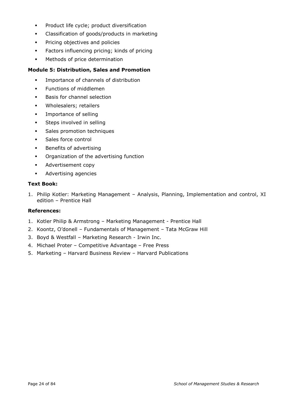- Product life cycle; product diversification
- Classification of goods/products in marketing
- **•** Pricing objectives and policies
- Factors influencing pricing; kinds of pricing
- Methods of price determination

#### **Module 5: Distribution, Sales and Promotion**

- Importance of channels of distribution
- **•** Functions of middlemen
- Basis for channel selection
- Wholesalers; retailers
- **·** Importance of selling
- **•** Steps involved in selling
- Sales promotion techniques
- Sales force control
- Benefits of advertising
- Organization of the advertising function
- Advertisement copy
- Advertising agencies

#### **Text Book:**

1. Philip Kotler: Marketing Management – Analysis, Planning, Implementation and control, XI edition – Prentice Hall

#### **References:**

- 1. Kotler Philip & Armstrong Marketing Management Prentice Hall
- 2. Koontz, O'donell Fundamentals of Management Tata McGraw Hill
- 3. Boyd & Westfall Marketing Research Irwin Inc.
- 4. Michael Proter Competitive Advantage Free Press
- 5. Marketing Harvard Business Review Harvard Publications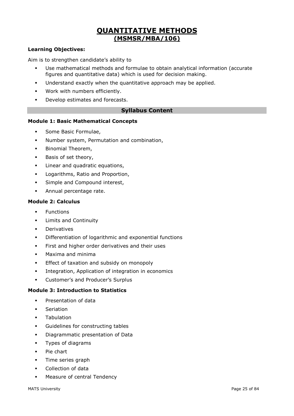# **QUANTITATIVE METHODS (MSMSR/MBA/106)**

#### **Learning Objectives:**

Aim is to strengthen candidate's ability to

- Use mathematical methods and formulae to obtain analytical information (accurate figures and quantitative data) which is used for decision making.
- Understand exactly when the quantitative approach may be applied.
- Work with numbers efficiently.
- Develop estimates and forecasts.

#### **Syllabus Content**

#### **Module 1: Basic Mathematical Concepts**

- Some Basic Formulae,
- **■** Number system, Permutation and combination,
- **•** Binomial Theorem,
- Basis of set theory,
- **EXEC** Linear and quadratic equations,
- Logarithms, Ratio and Proportion,
- **•** Simple and Compound interest,
- **■** Annual percentage rate.

#### **Module 2: Calculus**

- Functions
- Limits and Continuity
- Derivatives
- Differentiation of logarithmic and exponential functions
- **•** First and higher order derivatives and their uses
- Maxima and minima
- **Effect of taxation and subsidy on monopoly**
- **•** Integration, Application of integration in economics
- Customer's and Producer's Surplus

#### **Module 3: Introduction to Statistics**

- **·** Presentation of data
- Seriation
- Tabulation
- Guidelines for constructing tables
- Diagrammatic presentation of Data
- Types of diagrams
- Pie chart
- Time series graph
- Collection of data
- Measure of central Tendency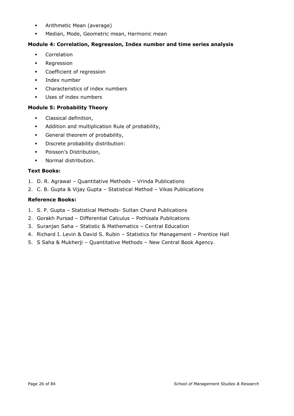- **•** Arithmetic Mean (average)
- Median, Mode, Geometric mean, Harmonic mean

#### **Module 4: Correlation, Regression, Index number and time series analysis**

- Correlation
- Regression
- Coefficient of regression
- Index number
- Characteristics of index numbers
- Uses of index numbers

#### **Module 5: Probability Theory**

- **·** Classical definition,
- Addition and multiplication Rule of probability,
- **•** General theorem of probability,
- Discrete probability distribution:
- Poisson's Distribution,
- Normal distribution.

#### **Text Books:**

- 1. D. R. Agrawal Quantitative Methods Vrinda Publications
- 2. C. B. Gupta & Vijay Gupta Statistical Method Vikas Publications

#### **Reference Books:**

- 1. S. P. Gupta Statistical Methods- Sultan Chand Publications
- 2. Gorakh Pursad Differential Calculus Pothisala Pubilcations
- 3. Suranjan Saha Statistic & Mathematics Central Education
- 4. Richard I. Levin & David S. Rubin Statistics for Management Prentice Hall
- 5. S Saha & Mukherji Quantitative Methods New Central Book Agency.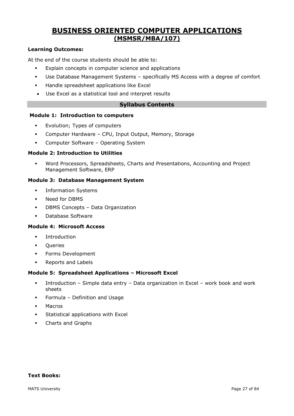# **BUSINESS ORIENTED COMPUTER APPLICATIONS (MSMSR/MBA/107)**

#### **Learning Outcomes:**

At the end of the course students should be able to:

- Explain concepts in computer science and applications
- Use Database Management Systems specifically MS Access with a degree of comfort
- Handle spreadsheet applications like Excel
- Use Excel as a statistical tool and interpret results

#### **Syllabus Contents**

#### **Module 1: Introduction to computers**

- Evolution; Types of computers
- Computer Hardware CPU, Input Output, Memory, Storage
- Computer Software Operating System

#### **Module 2: Introduction to Utilities**

Word Processors, Spreadsheets, Charts and Presentations, Accounting and Project Management Software, ERP

#### **Module 3: Database Management System**

- **·** Information Systems
- Need for DBMS
- DBMS Concepts Data Organization
- Database Software

#### **Module 4: Microsoft Access**

- Introduction
- Queries
- Forms Development
- Reports and Labels

#### **Module 5: Spreadsheet Applications – Microsoft Excel**

- Introduction Simple data entry Data organization in Excel work book and work sheets
- Formula Definition and Usage
- Macros
- **EXECUTE:** Statistical applications with Excel
- Charts and Graphs

#### **Text Books:**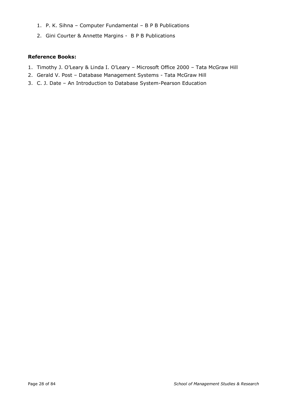- 1. P. K. Sihna Computer Fundamental B P B Publications
- 2. Gini Courter & Annette Margins B P B Publications

#### **Reference Books:**

- 1. Timothy J. O'Leary & Linda I. O'Leary Microsoft Office 2000 Tata McGraw Hill
- 2. Gerald V. Post Database Management Systems Tata McGraw Hill
- 3. C. J. Date An Introduction to Database System-Pearson Education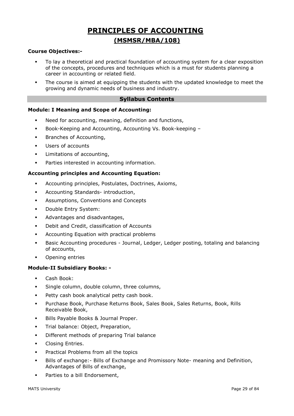# **PRINCIPLES OF ACCOUNTING (MSMSR/MBA/108)**

#### **Course Objectives:-**

- To lay a theoretical and practical foundation of accounting system for a clear exposition of the concepts, procedures and techniques which is a must for students planning a career in accounting or related field.
- **•** The course is aimed at equipping the students with the updated knowledge to meet the growing and dynamic needs of business and industry.

#### **Syllabus Contents**

#### **Module: I Meaning and Scope of Accounting:**

- Need for accounting, meaning, definition and functions,
- Book-Keeping and Accounting, Accounting Vs. Book-keeping –
- **■** Branches of Accounting,
- Users of accounts
- Limitations of accounting,
- Parties interested in accounting information.

#### **Accounting principles and Accounting Equation:**

- Accounting principles, Postulates, Doctrines, Axioms,
- Accounting Standards- introduction,
- Assumptions, Conventions and Concepts
- Double Entry System:
- Advantages and disadvantages,
- Debit and Credit, classification of Accounts
- Accounting Equation with practical problems
- **•** Basic Accounting procedures Journal, Ledger, Ledger posting, totaling and balancing of accounts,
- Opening entries

#### **Module-II Subsidiary Books: -**

- Cash Book:
- Single column, double column, three columns,
- **·** Petty cash book analytical petty cash book.
- Purchase Book, Purchase Returns Book, Sales Book, Sales Returns, Book, Rills Receivable Book,
- Bills Payable Books & Journal Proper.
- **·** Trial balance: Object, Preparation,
- Different methods of preparing Trial balance
- **•** Closing Entries.
- Practical Problems from all the topics
- Bills of exchange: Bills of Exchange and Promissory Note- meaning and Definition, Advantages of Bills of exchange,
- Parties to a bill Endorsement,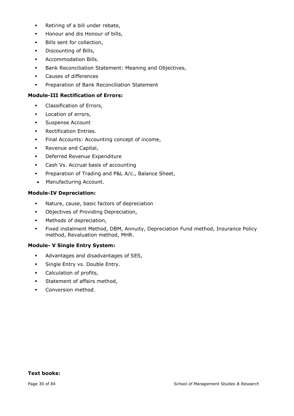- Retiring of a bill under rebate,
- Honour and dis Honour of bills,
- **·** Bills sent for collection,
- **•** Discounting of Bills,
- **•** Accommodation Bills.
- **Bank Reconciliation Statement: Meaning and Objectives,**
- Causes of differences
- **Preparation of Bank Reconciliation Statement**

#### **Module-III Rectification of Errors:**

- **•** Classification of Errors,
- **•** Location of errors,
- **•** Suspense Account
- **•** Rectification Entries.
- **•** Final Accounts: Accounting concept of income,
- Revenue and Capital,
- Deferred Revenue Expenditure
- Cash Vs. Accrual basis of accounting
- **•** Preparation of Trading and P&L A/c., Balance Sheet,
- Manufacturing Account. **.**

#### **Module-IV Depreciation:**

- Nature, cause, basic factors of depreciation
- Objectives of Providing Depreciation,
- Methods of depreciation,
- **Example 15 Fixed instalment Method, DBM, Annuity, Depreciation Fund method, Insurance Policy** method, Revaluation method, MHR.

#### **Module- V Single Entry System:**

- Advantages and disadvantages of SES,
- **·** Single Entry vs. Double Entry.
- **•** Calculation of profits,
- **•** Statement of affairs method,
- **•** Conversion method.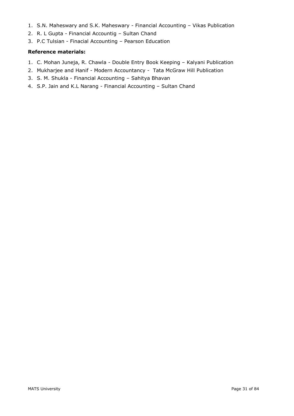- 1. S.N. Maheswary and S.K. Maheswary Financial Accounting Vikas Publication
- 2. R. L Gupta Financial Accountig Sultan Chand
- 3. P.C Tulsian Finacial Accounting Pearson Education

#### **Reference materials:**

- 1. C. Mohan Juneja, R. Chawla Double Entry Book Keeping Kalyani Publication
- 2. Mukharjee and Hanif Modern Accountancy Tata McGraw Hill Publication
- 3. S. M. Shukla Financial Accounting Sahitya Bhavan
- 4. S.P. Jain and K.L Narang Financial Accounting Sultan Chand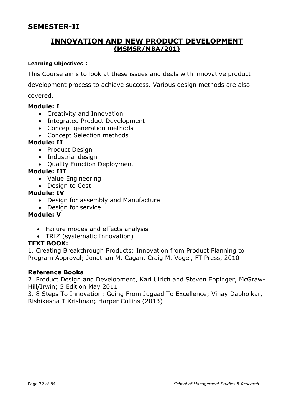# **SEMESTER-II**

# **INNOVATION AND NEW PRODUCT DEVELOPMENT (MSMSR/MBA/201)**

#### **Learning Objectives :**

This Course aims to look at these issues and deals with innovative product development process to achieve success. Various design methods are also covered.

#### **Module: I**

- Creativity and Innovation
- Integrated Product Development
- Concept generation methods
- Concept Selection methods

### **Module: II**

- Product Design
- Industrial design
- Quality Function Deployment

#### **Module: III**

- Value Engineering
- Design to Cost

#### **Module: IV**

- Design for assembly and Manufacture
- Design for service

### **Module: V**

- Failure modes and effects analysis
- TRIZ (systematic Innovation)

#### **TEXT BOOK:**

1. Creating Breakthrough Products: Innovation from Product Planning to Program Approval; Jonathan M. Cagan, Craig M. Vogel, FT Press, 2010

#### **Reference Books**

2. Product Design and Development, Karl Ulrich and Steven Eppinger, McGraw-Hill/Irwin; 5 Edition May 2011

3. 8 Steps To Innovation: Going From Jugaad To Excellence; Vinay Dabholkar, Rishikesha T Krishnan; Harper Collins (2013)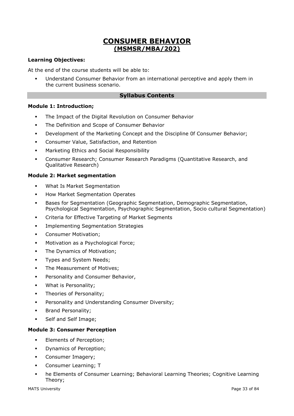# **CONSUMER BEHAVIOR (MSMSR/MBA/202)**

#### **Learning Objectives:**

At the end of the course students will be able to:

Understand Consumer Behavior from an international perceptive and apply them in the current business scenario.

#### **Syllabus Contents**

#### **Module 1: Introduction;**

- The Impact of the Digital Revolution on Consumer Behavior
- **The Definition and Scope of Consumer Behavior**
- **Development of the Marketing Concept and the Discipline Of Consumer Behavior;**
- Consumer Value, Satisfaction, and Retention
- **■** Marketing Ethics and Social Responsibility
- Consumer Research; Consumer Research Paradigms (Quantitative Research, and Qualitative Research)

#### **Module 2: Market segmentation**

- What Is Market Segmentation
- **How Market Segmentation Operates**
- **EXECT:** Bases for Segmentation (Geographic Segmentation, Demographic Segmentation, Psychological Segmentation, Psychographic Segmentation, Socio cultural Segmentation)
- Criteria for Effective Targeting of Market Segments
- **•** Implementing Segmentation Strategies
- Consumer Motivation;
- Motivation as a Psychological Force;
- **•** The Dynamics of Motivation;
- **·** Types and System Needs;
- **The Measurement of Motives:**
- **•** Personality and Consumer Behavior,
- What is Personality;
- **·** Theories of Personality;
- **•** Personality and Understanding Consumer Diversity;
- Brand Personality;
- Self and Self Image;

#### **Module 3: Consumer Perception**

- Elements of Perception;
- Dynamics of Perception;
- **•** Consumer Imagery;
- **•** Consumer Learning; T
- he Elements of Consumer Learning; Behavioral Learning Theories; Cognitive Learning Theory;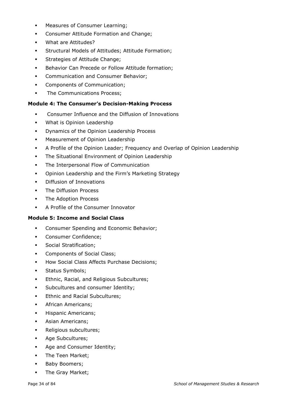- Measures of Consumer Learning;
- **•** Consumer Attitude Formation and Change;
- What are Attitudes?
- Structural Models of Attitudes; Attitude Formation;
- **EXECUTE:** Strategies of Attitude Change;
- **EXECTED BEHAVIOR CAN PRECEDE OF Follow Attitude formation;**
- **Communication and Consumer Behavior;**
- Components of Communication;
- **•** The Communications Process;

#### **Module 4: The Consumer's Decision-Making Process**

- Consumer Influence and the Diffusion of Innovations
- What is Opinion Leadership
- **•** Dynamics of the Opinion Leadership Process
- **■** Measurement of Opinion Leadership
- A Profile of the Opinion Leader; Frequency and Overlap of Opinion Leadership
- The Situational Environment of Opinion Leadership
- The Interpersonal Flow of Communication
- Opinion Leadership and the Firm's Marketing Strategy
- Diffusion of Innovations
- **•** The Diffusion Process
- **·** The Adoption Process
- A Profile of the Consumer Innovator

#### **Module 5: Income and Social Class**

- **•** Consumer Spending and Economic Behavior;
- Consumer Confidence;
- **·** Social Stratification;
- **•** Components of Social Class;
- How Social Class Affects Purchase Decisions;
- **•** Status Symbols;
- **Ethnic, Racial, and Religious Subcultures;**
- **•** Subcultures and consumer Identity;
- **Ethnic and Racial Subcultures;**
- **•** African Americans;
- **·** Hispanic Americans;
- **•** Asian Americans;
- Religious subcultures;
- Age Subcultures;
- Age and Consumer Identity;
- The Teen Market:
- Baby Boomers;
- **·** The Gray Market;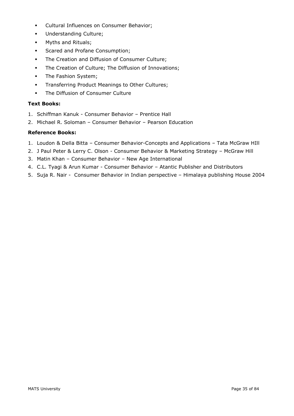- Cultural Influences on Consumer Behavior;
- Understanding Culture;
- Myths and Rituals;
- **•** Scared and Profane Consumption;
- **The Creation and Diffusion of Consumer Culture;**
- **•** The Creation of Culture; The Diffusion of Innovations;
- **•** The Fashion System;
- **Transferring Product Meanings to Other Cultures;**
- The Diffusion of Consumer Culture

#### **Text Books:**

- 1. Schiffman Kanuk Consumer Behavior Prentice Hall
- 2. Michael R. Soloman Consumer Behavior Pearson Education

#### **Reference Books:**

- 1. Loudon & Della Bitta Consumer Behavior-Concepts and Applications Tata McGraw HIll
- 2. J Paul Peter & Lerry C. Olson Consumer Behavior & Marketing Strategy McGraw Hill
- 3. Matin Khan Consumer Behavior New Age International
- 4. C.L. Tyagi & Arun Kumar Consumer Behavior Atantic Publisher and Distributors
- 5. Suja R. Nair Consumer Behavior in Indian perspective Himalaya publishing House 2004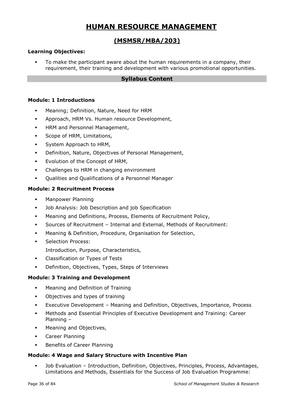# **HUMAN RESOURCE MANAGEMENT**

### **(MSMSR/MBA/203)**

#### **Learning Objectives:**

To make the participant aware about the human requirements in a company, their requirement, their training and development with various promotional opportunities.

#### **Syllabus Content**

#### **Module: 1 Introductions**

- Meaning; Definition, Nature, Need for HRM
- Approach, HRM Vs. Human resource Development,
- **HRM and Personnel Management,**
- Scope of HRM, Limitations,
- System Approach to HRM,
- Definition, Nature, Objectives of Personal Management,
- Evolution of the Concept of HRM,
- Challenges to HRM in changing environment
- Oualities and Oualifications of a Personnel Manager

#### **Module: 2 Recruitment Process**

- Manpower Planning
- Job Analysis: Job Description and job Specification
- Meaning and Definitions, Process, Elements of Recruitment Policy,
- Sources of Recruitment Internal and External, Methods of Recruitment:
- Meaning & Definition, Procedure, Organisation for Selection,
- Selection Process:
- Introduction, Purpose, Characteristics,
- Classification or Types of Tests
- Definition, Objectives, Types, Steps of Interviews

#### **Module: 3 Training and Development**

- Meaning and Definition of Training
- Objectives and types of training
- Executive Development Meaning and Definition, Objectives, Importance, Process
- Methods and Essential Principles of Executive Development and Training: Career Planning –
- **■** Meaning and Objectives,
- Career Planning
- Benefits of Career Planning

#### **Module: 4 Wage and Salary Structure with Incentive Plan**

▪ Job Evaluation – Introduction, Definition, Objectives, Principles, Process, Advantages, Limitations and Methods, Essentials for the Success of Job Evaluation Programme: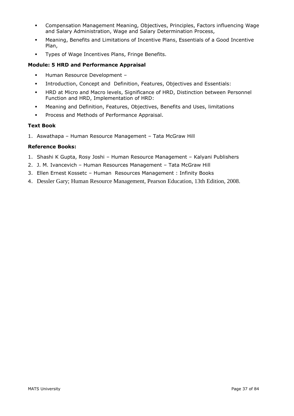- Compensation Management Meaning, Objectives, Principles, Factors influencing Wage and Salary Administration, Wage and Salary Determination Process,
- Meaning, Benefits and Limitations of Incentive Plans, Essentials of a Good Incentive Plan,
- **·** Types of Wage Incentives Plans, Fringe Benefits.

## **Module: 5 HRD and Performance Appraisal**

- Human Resource Development –
- Introduction, Concept and Definition, Features, Objectives and Essentials:
- **EXECT HRD at Micro and Macro levels, Significance of HRD, Distinction between Personnel** Function and HRD, Implementation of HRD:
- Meaning and Definition, Features, Objectives, Benefits and Uses, limitations
- **Process and Methods of Performance Appraisal.**

### **Text Book**

1. Aswathapa – Human Resource Management – Tata McGraw Hill

### **Reference Books:**

- 1. Shashi K Gupta, Rosy Joshi Human Resource Management Kalyani Publishers
- 2. J. M. Ivancevich Human Resources Management Tata McGraw Hill
- 3. Ellen Ernest Kossetc Human Resources Management : Infinity Books
- 4. Dessler Gary; Human Resource Management, Pearson Education, 13th Edition, 2008.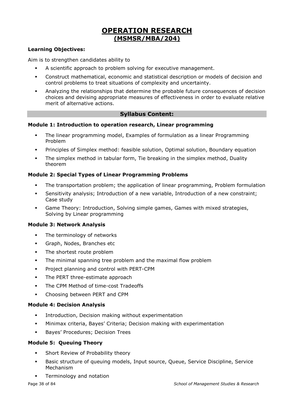# **OPERATION RESEARCH (MSMSR/MBA/204)**

## **Learning Objectives:**

Aim is to strengthen candidates ability to

- A scientific approach to problem solving for executive management.
- Construct mathematical, economic and statistical description or models of decision and control problems to treat situations of complexity and uncertainty.
- Analyzing the relationships that determine the probable future consequences of decision choices and devising appropriate measures of effectiveness in order to evaluate relative merit of alternative actions.

## **Syllabus Content:**

### **Module 1: Introduction to operation research, Linear programming**

- The linear programming model, Examples of formulation as a linear Programming Problem
- Principles of Simplex method: feasible solution, Optimal solution, Boundary equation
- The simplex method in tabular form, Tie breaking in the simplex method, Duality theorem

## **Module 2: Special Types of Linear Programming Problems**

- The transportation problem; the application of linear programming, Problem formulation
- Sensitivity analysis; Introduction of a new variable, Introduction of a new constraint; Case study
- Game Theory: Introduction, Solving simple games, Games with mixed strategies, Solving by Linear programming

### **Module 3: Network Analysis**

- The terminology of networks
- Graph, Nodes, Branches etc
- **·** The shortest route problem
- The minimal spanning tree problem and the maximal flow problem
- **•** Project planning and control with PERT-CPM
- The PERT three-estimate approach
- The CPM Method of time-cost Tradeoffs
- Choosing between PERT and CPM

### **Module 4: Decision Analysis**

- **•** Introduction, Decision making without experimentation
- Minimax criteria, Bayes' Criteria; Decision making with experimentation
- Bayes' Procedures; Decision Trees

## **Module 5: Queuing Theory**

- **Short Review of Probability theory**
- Basic structure of queuing models, Input source, Queue, Service Discipline, Service Mechanism
- Terminology and notation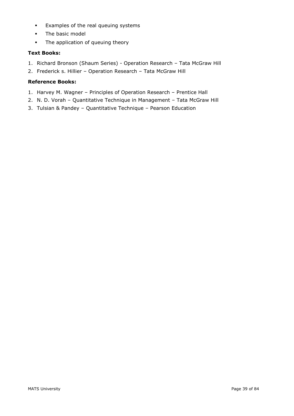- Examples of the real queuing systems
- The basic model
- **•** The application of queuing theory

## **Text Books:**

- 1. Richard Bronson (Shaum Series) Operation Research Tata McGraw Hill
- 2. Frederick s. Hillier Operation Research Tata McGraw Hill

## **Reference Books:**

- 1. Harvey M. Wagner Principles of Operation Research Prentice Hall
- 2. N. D. Vorah Quantitative Technique in Management Tata McGraw Hill
- 3. Tulsian & Pandey Quantitative Technique Pearson Education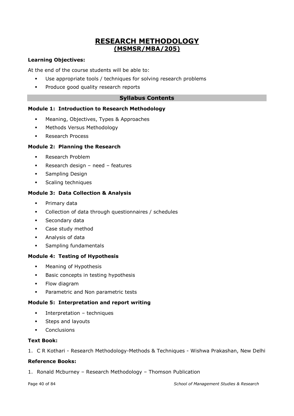# **RESEARCH METHODOLOGY (MSMSR/MBA/205)**

## **Learning Objectives:**

At the end of the course students will be able to:

- Use appropriate tools / techniques for solving research problems
- Produce good quality research reports

## **Syllabus Contents**

## **Module 1: Introduction to Research Methodology**

- Meaning, Objectives, Types & Approaches
- Methods Versus Methodology
- **Research Process**

## **Module 2: Planning the Research**

- Research Problem
- Research design need features
- **•** Sampling Design
- **•** Scaling techniques

## **Module 3: Data Collection & Analysis**

- Primary data
- Collection of data through questionnaires / schedules
- **■** Secondary data
- Case study method
- Analysis of data
- **•** Sampling fundamentals

### **Module 4: Testing of Hypothesis**

- Meaning of Hypothesis
- Basic concepts in testing hypothesis
- Flow diagram
- **•** Parametric and Non parametric tests

### **Module 5: Interpretation and report writing**

- **·** Interpretation techniques
- **•** Steps and layouts
- Conclusions

### **Text Book:**

1. C R Kothari - Research Methodology-Methods & Techniques - Wishwa Prakashan, New Delhi

## **Reference Books:**

1. Ronald Mcburney – Research Methodology – Thomson Publication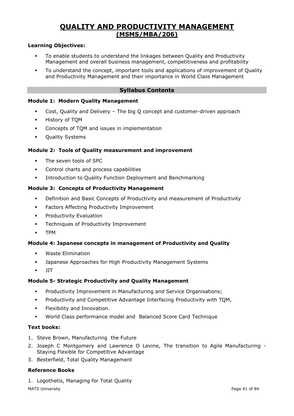# **QUALITY AND PRODUCTIVITY MANAGEMENT (MSMS/MBA/206)**

## **Learning Objectives:**

- To enable students to understand the linkages between Quality and Productivity Management and overall business management, competitiveness and profitability
- To understand the concept, important tools and applications of improvement of Quality and Productivity Management and their importance in World Class Management

## **Syllabus Contents**

#### **Module 1: Modern Quality Management**

- Cost, Quality and Delivery The big Q concept and customer-driven approach
- History of TQM
- Concepts of TQM and issues in implementation
- Quality Systems

### **Module 2: Tools of Quality measurement and improvement**

- **·** The seven tools of SPC
- **•** Control charts and process capabilities
- **Introduction to Quality Function Deployment and Benchmarking**

#### **Module 3: Concepts of Productivity Management**

- Definition and Basic Concepts of Productivity and measurement of Productivity
- **•** Factors Affecting Productivity Improvement
- **•** Productivity Evaluation
- **•** Techniques of Productivity Improvement
- TPM

### **Module 4: Japanese concepts in management of Productivity and Quality**

- Waste Elimination
- **■** Japanese Approaches for High Productivity Management Systems
- JIT

### **Module 5- Strategic Productivity and Quality Management**

- Productivity Improvement in Manufacturing and Service Organisations;
- Productivity and Competitive Advantage Interfacing Productivity with TQM,
- **•** Flexibility and Innovation.
- World Class performance model and Balanced Score Card Technique

#### **Text books:**

- 1. Steve Brown, Manufacturing the Future
- 2. Joseph C Montgomery and Lawrence O Levine, The transition to Agile Manufacturing Staying Flexible for Competitive Advantage
- 3. Besterfield, Total Quality Management

## **Reference Books**

1. Logothetis, Managing for Total Quality

MATS University **Page 41 of 84**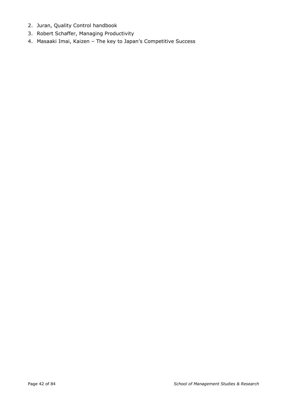- 2. Juran, Quality Control handbook
- 3. Robert Schaffer, Managing Productivity
- 4. Masaaki Imai, Kaizen The key to Japan's Competitive Success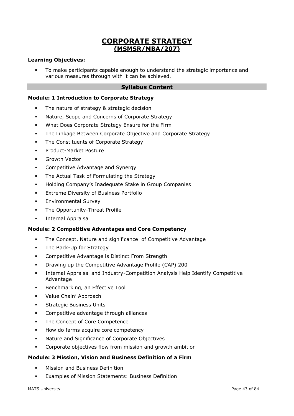# **CORPORATE STRATEGY (MSMSR/MBA/207)**

## **Learning Objectives:**

To make participants capable enough to understand the strategic importance and various measures through with it can be achieved.

### **Syllabus Content**

#### **Module: 1 Introduction to Corporate Strategy**

- The nature of strategy & strategic decision
- Nature, Scope and Concerns of Corporate Strategy
- What Does Corporate Strategy Ensure for the Firm
- **The Linkage Between Corporate Objective and Corporate Strategy**
- **•** The Constituents of Corporate Strategy
- Product-Market Posture
- Growth Vector
- **Competitive Advantage and Synergy**
- The Actual Task of Formulating the Strategy
- Holding Company's Inadequate Stake in Group Companies
- **•** Extreme Diversity of Business Portfolio
- **Environmental Survey**
- **•** The Opportunity-Threat Profile
- **·** Internal Appraisal

#### **Module: 2 Competitive Advantages and Core Competency**

- The Concept, Nature and significance of Competitive Advantage
- **•** The Back-Up for Strategy
- Competitive Advantage is Distinct From Strength
- Drawing up the Competitive Advantage Profile (CAP) 200
- Internal Appraisal and Industry-Competition Analysis Help Identify Competitive Advantage
- Benchmarking, an Effective Tool
- Value Chain' Approach
- **•** Strategic Business Units
- Competitive advantage through alliances
- The Concept of Core Competence
- How do farms acquire core competency
- Nature and Significance of Corporate Objectives
- Corporate objectives flow from mission and growth ambition

#### **Module: 3 Mission, Vision and Business Definition of a Firm**

- **Mission and Business Definition**
- Examples of Mission Statements: Business Definition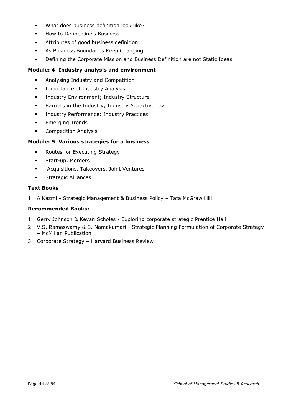- What does business definition look like?
- How to Define One's Business
- Attributes of good business definition
- As Business Boundaries Keep Changing,
- Defining the Corporate Mission and Business Definition are not Static Ideas

## **Module: 4 Industry analysis and environment**

- Analysing Industry and Competition
- **•** Importance of Industry Analysis
- **·** Industry Environment; Industry Structure
- Barriers in the Industry; Industry Attractiveness
- **·** Industry Performance; Industry Practices
- **•** Emerging Trends
- Competition Analysis

## **Module: 5 Various strategies for a business**

- Routes for Executing Strategy
- Start-up, Mergers
- Acquisitions, Takeovers, Joint Ventures
- Strategic Alliances

## **Text Books**

1. A Kazmi - Strategic Management & Business Policy – Tata McGraw Hill

## **Recommended Books:**

- 1. Gerry Johnson & Kevan Scholes Exploring corporate strategic Prentice Hall
- 2. V.S. Ramaswamy & S. Namakumari Strategic Planning Formulation of Corporate Strategy – McMillan Publication
- 3. Corporate Strategy Harvard Business Review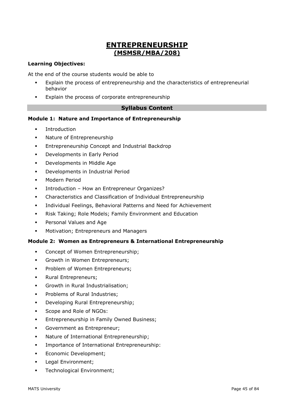# **ENTREPRENEURSHIP (MSMSR/MBA/208)**

## **Learning Objectives:**

At the end of the course students would be able to

- Explain the process of entrepreneurship and the characteristics of entrepreneurial behavior
- Explain the process of corporate entrepreneurship

## **Syllabus Content**

## **Module 1: Nature and Importance of Entrepreneurship**

- **Introduction**
- Nature of Entrepreneurship
- Entrepreneurship Concept and Industrial Backdrop
- **•** Developments in Early Period
- Developments in Middle Age
- Developments in Industrial Period
- Modern Period
- Introduction How an Entrepreneur Organizes?
- Characteristics and Classification of Individual Entrepreneurship
- Individual Feelings, Behavioral Patterns and Need for Achievement
- Risk Taking; Role Models; Family Environment and Education
- Personal Values and Age
- Motivation; Entrepreneurs and Managers

## **Module 2: Women as Entrepreneurs & International Entrepreneurship**

- Concept of Women Entrepreneurship;
- **•** Growth in Women Entrepreneurs;
- **Problem of Women Entrepreneurs:**
- Rural Entrepreneurs;
- **Growth in Rural Industrialisation:**
- Problems of Rural Industries;
- **•** Developing Rural Entrepreneurship;
- Scope and Role of NGOs:
- **Entrepreneurship in Family Owned Business;**
- Government as Entrepreneur;
- **Nature of International Entrepreneurship;**
- **•** Importance of International Entrepreneurship:
- **•** Economic Development;
- **•** Legal Environment;
- **•** Technological Environment;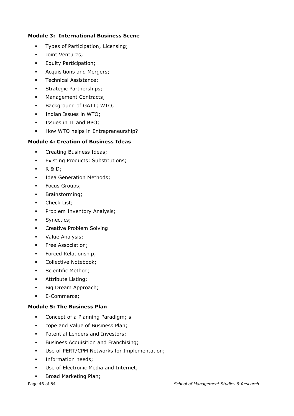## **Module 3: International Business Scene**

- Types of Participation; Licensing;
- Joint Ventures;
- **•** Equity Participation;
- **•** Acquisitions and Mergers;
- **•** Technical Assistance:
- **•** Strategic Partnerships;
- **■** Management Contracts;
- **Background of GATT; WTO;**
- **·** Indian Issues in WTO;
- Issues in IT and BPO;
- **■** How WTO helps in Entrepreneurship?

## **Module 4: Creation of Business Ideas**

- Creating Business Ideas;
- **•** Existing Products; Substitutions;
- R & D;
- **■** Idea Generation Methods;
- Focus Groups;
- Brainstorming;
- **•** Check List;
- **•** Problem Inventory Analysis;
- **•** Synectics;
- **•** Creative Problem Solving
- Value Analysis;
- **•** Free Association;
- **•** Forced Relationship;
- **•** Collective Notebook;
- **•** Scientific Method;
- Attribute Listing;
- Big Dream Approach;
- E-Commerce;

## **Module 5: The Business Plan**

- Concept of a Planning Paradigm; s
- cope and Value of Business Plan;
- Potential Lenders and Investors;
- **•** Business Acquisition and Franchising;
- Use of PERT/CPM Networks for Implementation;
- **·** Information needs;
- Use of Electronic Media and Internet;
- **■** Broad Marketing Plan;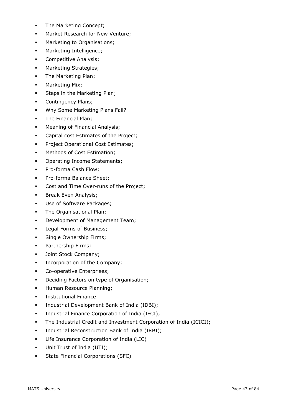- **•** The Marketing Concept;
- **■** Market Research for New Venture;
- Marketing to Organisations;
- **■** Marketing Intelligence;
- **•** Competitive Analysis;
- **■** Marketing Strategies;
- The Marketing Plan;
- **■** Marketing Mix;
- **•** Steps in the Marketing Plan;
- **•** Contingency Plans;
- **Why Some Marketing Plans Fail?**
- The Financial Plan;
- **■** Meaning of Financial Analysis;
- Capital cost Estimates of the Project;
- **Project Operational Cost Estimates;**
- **■** Methods of Cost Estimation;
- **•** Operating Income Statements;
- Pro-forma Cash Flow;
- Pro-forma Balance Sheet;
- Cost and Time Over-runs of the Project;
- **■** Break Even Analysis;
- Use of Software Packages;
- The Organisational Plan;
- Development of Management Team;
- **•** Legal Forms of Business;
- **·** Single Ownership Firms;
- Partnership Firms;
- **·** Joint Stock Company;
- **•** Incorporation of the Company;
- Co-operative Enterprises;
- **•** Deciding Factors on type of Organisation;
- **■** Human Resource Planning;
- **·** Institutional Finance
- **·** Industrial Development Bank of India (IDBI);
- **•** Industrial Finance Corporation of India (IFCI);
- **•** The Industrial Credit and Investment Corporation of India (ICICI);
- Industrial Reconstruction Bank of India (IRBI);
- Life Insurance Corporation of India (LIC)
- Unit Trust of India (UTI);
- **•** State Financial Corporations (SFC)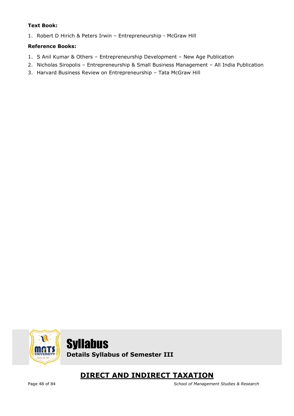## **Text Book:**

1. Robert D Hirich & Peters Irwin – Entrepreneurship - McGraw Hill

## **Reference Books:**

- 1. S Anil Kumar & Others Entrepreneurship Development New Age Publication
- 2. Nicholas Siropolis Entrepreneurship & Small Business Management All India Publication
- 3. Harvard Business Review on Entrepreneurship Tata McGraw Hill





# **DIRECT AND INDIRECT TAXATION**

Page 48 of 84 *School of Management Studies & Research*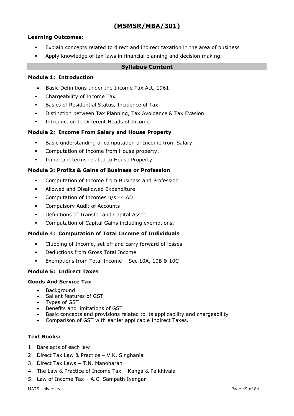## **(MSMSR/MBA/301)**

## **Learning Outcomes:**

- Explain concepts related to direct and indirect taxation in the area of business
- Apply knowledge of tax laws in financial planning and decision making.

### **Syllabus Content**

## **Module 1: Introduction**

- Basic Definitions under the Income Tax Act, 1961.
- Chargeability of Income Tax
- Basics of Residential Status, Incidence of Tax
- **•** Distinction between Tax Planning, Tax Avoidance & Tax Evasion
- Introduction to Different Heads of Income:

## **Module 2: Income From Salary and House Property**

- Basic understanding of computation of Income from Salary.
- Computation of Income from House property.
- **·** Important terms related to House Property

## **Module 3: Profits & Gains of Business or Profession**

- Computation of Income from Business and Profession
- Allowed and Disallowed Expenditure
- Computation of Incomes u/s 44 AD
- Compulsory Audit of Accounts
- Definitions of Transfer and Capital Asset
- Computation of Capital Gains including exemptions.

### **Module 4: Computation of Total Income of Individuals**

- Clubbing of Income, set off and carry forward of losses
- Deductions from Gross Total Income
- Exemptions from Total Income Sec 10A, 10B & 10C

## **Module 5: Indirect Taxes**

### **Goods And Service Tax**

- Background
- Salient features of GST
- Types of GST
- Benefits and limitations of GST
- Basic concepts and provisions related to its applicability and chargeability
- Comparison of GST with earlier applicable Indirect Taxes.

### **Text Books:**

- 1. Bare acts of each law
- 2. Direct Tax Law & Practice V.K. Singhania
- 3. Direct Tax Laws T.N. Manoharan
- 4. The Law & Practice of Income Tax Kanga & Palkhivala
- 5. Law of Income Tax A.C. Sampath Iyengar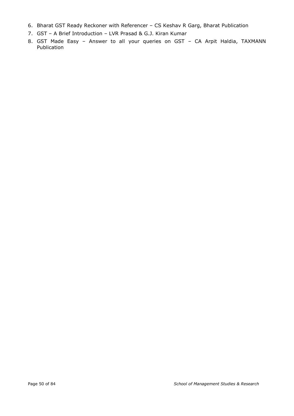- 6. Bharat GST Ready Reckoner with Referencer CS Keshav R Garg, Bharat Publication
- 7. GST A Brief Introduction LVR Prasad & G.J. Kiran Kumar
- 8. GST Made Easy Answer to all your queries on GST CA Arpit Haldia, TAXMANN Publication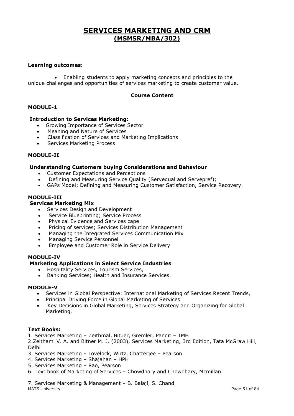# **SERVICES MARKETING AND CRM (MSMSR/MBA/302)**

#### **Learning outcomes:**

• Enabling students to apply marketing concepts and principles to the unique challenges and opportunities of services marketing to create customer value.

#### **Course Content**

### **MODULE-1**

#### **Introduction to Services Marketing:**

- Growing Importance of Services Sector
- Meaning and Nature of Services
- Classification of Services and Marketing Implications
- Services Marketing Process

#### **MODULE-II**

#### **Understanding Customers buying Considerations and Behaviour**

- Customer Expectations and Perceptions
- Defining and Measuring Service Quality (Servequal and Servepref);
- GAPs Model; Defining and Measuring Customer Satisfaction, Service Recovery.

#### **MODULE-III**

### **Services Marketing Mix**

- Services Design and Development
- Service Blueprinting; Service Process
- Physical Evidence and Services cape
- Pricing of services; Services Distribution Management
- Managing the Integrated Services Communication Mix
- Managing Service Personnel
- Employee and Customer Role in Service Delivery

#### **MODULE-IV**

#### **Marketing Applications in Select Service Industries**

- Hospitality Services, Tourism Services,
- Banking Services; Health and Insurance Services.

#### **MODULE-V**

- Services in Global Perspective: International Marketing of Services Recent Trends,
- Principal Driving Force in Global Marketing of Services
- Key Decisions in Global Marketing, Services Strategy and Organizing for Global Marketing.

#### **Text Books:**

1. Services Marketing – Zeithmal, Bituer, Gremler, Pandit – TMH

2.Zeithaml V. A. and Bitner M. J. (2003), Services Marketing, 3rd Edition, Tata McGraw Hill, Delhi

- 3. Services Marketing Lovelock, Wirtz, Chatterjee Pearson
- 4. Services Marketing Shajahan HPH
- 5. Services Marketing Rao, Pearson
- 6. Text book of Marketing of Services Chowdhary and Chowdhary, Mcmillan

MATS University **Example 2018** Page 51 of 84 7. Services Marketing & Management – B. Balaji, S. Chand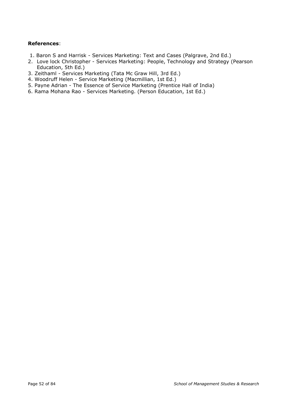## **References**:

- 1. Baron S and Harrisk Services Marketing: Text and Cases (Palgrave, 2nd Ed.)
- 2. Love lock Christopher Services Marketing: People, Technology and Strategy (Pearson Education, 5th Ed.)
- 3. Zeithaml Services Marketing (Tata Mc Graw Hill, 3rd Ed.)
- 4. Woodruff Helen Service Marketing (Macmillian, 1st Ed.)
- 5. Payne Adrian The Essence of Service Marketing (Prentice Hall of India)
- 6. Rama Mohana Rao Services Marketing. (Person Education, 1st Ed.)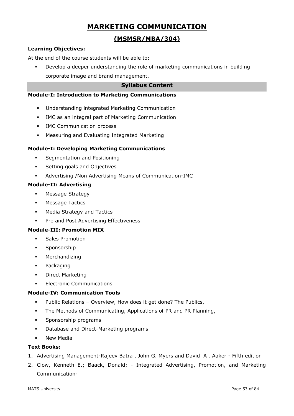# **MARKETING COMMUNICATION**

## **(MSMSR/MBA/304)**

## **Learning Objectives:**

At the end of the course students will be able to:

Develop a deeper understanding the role of marketing communications in building corporate image and brand management.

## **Syllabus Content**

## **Module-I: Introduction to Marketing Communications**

- Understanding integrated Marketing Communication
- IMC as an integral part of Marketing Communication
- **IMC Communication process**
- Measuring and Evaluating Integrated Marketing

## **Module-I: Developing Marketing Communications**

- Segmentation and Positioning
- **•** Setting goals and Objectives
- Advertising /Non Advertising Means of Communication-IMC

### **Module-II: Advertising**

- **■** Message Strategy
- **■** Message Tactics
- Media Strategy and Tactics
- **•** Pre and Post Advertising Effectiveness

### **Module-III: Promotion MIX**

- Sales Promotion
- Sponsorship
- Merchandizing
- Packaging
- Direct Marketing
- **Electronic Communications**

### **Module-IV: Communication Tools**

- Public Relations Overview, How does it get done? The Publics,
- The Methods of Communicating, Applications of PR and PR Planning,
- Sponsorship programs
- Database and Direct-Marketing programs
- New Media

## **Text Books:**

- 1. Advertising Management-Rajeev Batra , John G. Myers and David A . Aaker Fifth edition
- 2. Clow, Kenneth E.; Baack, Donald; Integrated Advertising, Promotion, and Marketing Communication-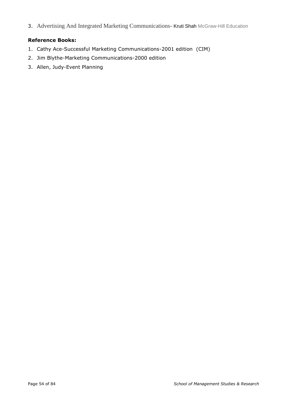3. Advertising And Integrated Marketing Communications- Kruti Shah McGraw-Hill Education

## **Reference Books:**

- 1. Cathy Ace-Successful Marketing Communications-2001 edition (CIM)
- 2. Jim Blythe-Marketing Communications-2000 edition
- 3. Allen, Judy-Event Planning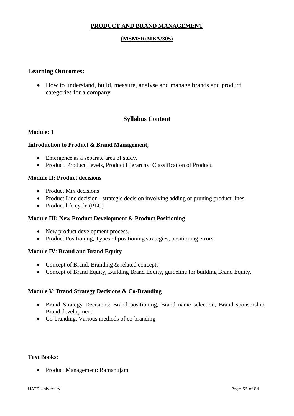## **PRODUCT AND BRAND MANAGEMENT**

## **(MSMSR/MBA/305)**

## **Learning Outcomes:**

• How to understand, build, measure, analyse and manage brands and product categories for a company

## **Syllabus Content**

## **Module: 1**

## **Introduction to Product & Brand Management**,

- Emergence as a separate area of study.
- Product, Product Levels, Product Hierarchy, Classification of Product.

## **Module II: Product decisions**

- Product Mix decisions
- Product Line decision strategic decision involving adding or pruning product lines.
- Product life cycle (PLC)

## **Module III: New Product Development & Product Positioning**

- New product development process.
- Product Positioning, Types of positioning strategies, positioning errors.

## **Module IV**: **Brand and Brand Equity**

- Concept of Brand, Branding & related concepts
- Concept of Brand Equity, Building Brand Equity, guideline for building Brand Equity.

## **Module V**: **Brand Strategy Decisions & Co-Branding**

- Brand Strategy Decisions: Brand positioning, Brand name selection, Brand sponsorship, Brand development.
- Co-branding, Various methods of co-branding

## **Text Books**:

• Product Management: Ramanujam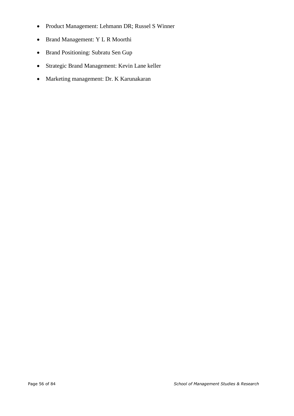- Product Management: Lehmann DR; Russel S Winner
- Brand Management: Y L R Moorthi
- Brand Positioning: Subratu Sen Gup
- Strategic Brand Management: Kevin Lane keller
- Marketing management: Dr. K Karunakaran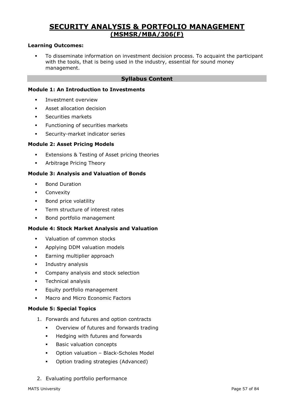# **SECURITY ANALYSIS & PORTFOLIO MANAGEMENT (MSMSR/MBA/306(F)**

## **Learning Outcomes:**

▪ To disseminate information on investment decision process. To acquaint the participant with the tools, that is being used in the industry, essential for sound money management.

## **Syllabus Content**

## **Module 1: An Introduction to Investments**

- Investment overview
- Asset allocation decision
- Securities markets
- **·** Functioning of securities markets
- **EXECUTE SECUTELY-market indicator series**

#### **Module 2: Asset Pricing Models**

- **Extensions & Testing of Asset pricing theories**
- **■** Arbitrage Pricing Theory

#### **Module 3: Analysis and Valuation of Bonds**

- Bond Duration
- **■** Convexity
- Bond price volatility
- **•** Term structure of interest rates
- Bond portfolio management

#### **Module 4: Stock Market Analysis and Valuation**

- Valuation of common stocks
- **■** Applying DDM valuation models
- **Earning multiplier approach**
- **·** Industry analysis
- Company analysis and stock selection
- **•** Technical analysis
- **Equity portfolio management**
- Macro and Micro Economic Factors

#### **Module 5: Special Topics**

- 1. Forwards and futures and option contracts
	- Overview of futures and forwards trading
	- Hedging with futures and forwards
	- **Basic valuation concepts**
	- Option valuation Black-Scholes Model
	- Option trading strategies (Advanced)
- 2. Evaluating portfolio performance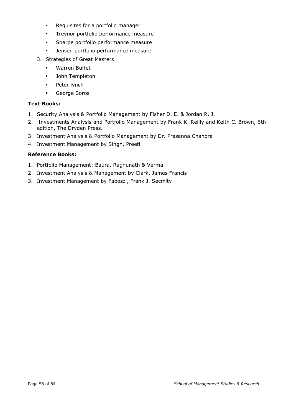- Requisites for a portfolio manager
- **•** Treynor portfolio performance measure
- Sharpe portfolio performance measure
- Jensen portfolio performance measure
- 3. Strategies of Great Masters
	- Warren Buffet
	- John Templeton
	- Peter lynch
	- George Soros

## **Text Books:**

- 1. Security Analysis & Portfolio Management by Fisher D. E. & Jordan R. J.
- 2. Investments Analysis and Portfolio Management by Frank K. Reilly and Keith C. Brown, 6th edition, The Dryden Press.
- 3. Investment Analysis & Portfolio Management by Dr. Prasanna Chandra
- 4. Investment Management by Singh, Preeti

## **Reference Books:**

- 1. Portfolio Management: Baura, Raghunath & Verma
- 2. Investment Analysis & Management by Clark, James Francis
- 3. Investment Management by Fabozzi, Frank J. Secmity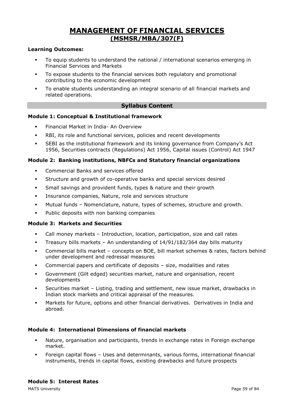# **MANAGEMENT OF FINANCIAL SERVICES (MSMSR/MBA/307(F)**

## **Learning Outcomes:**

- To equip students to understand the national / international scenarios emerging in Financial Services and Markets
- To expose students to the financial services both regulatory and promotional contributing to the economic development
- To enable students understanding an integral scenario of all financial markets and related operations.

## **Syllabus Content**

### **Module 1: Conceptual & Institutional framework**

- **Financial Market in India- An Overview**
- RBI, its role and functional services, policies and recent developments
- SEBI as the institutional framework and its linking governance from Company's Act 1956, Securities contracts (Regulations) Act 1956, Capital issues (Control) Act 1947

### **Module 2: Banking institutions, NBFCs and Statutory financial organizations**

- Commercial Banks and services offered
- Structure and growth of co-operative banks and special services desired
- **•** Small savings and provident funds, types & nature and their growth
- Insurance companies, Nature, role and services structure
- Mutual funds Nomenclature, nature, types of schemes, structure and growth.
- Public deposits with non banking companies

#### **Module 3: Markets and Securities**

- Call money markets Introduction, location, participation, size and call rates
- Treasury bills markets An understanding of 14/91/182/364 day bills maturity
- Commercial bills market concepts on BOE, bill market schemes & rates, factors behind under development and redressal measures
- Commercial papers and certificate of deposits size, modalities and rates
- Government (Gilt edged) securities market, nature and organisation, recent developments
- Securities market Listing, trading and settlement, new issue market, drawbacks in Indian stock markets and critical appraisal of the measures.
- Markets for future, options and other financial derivatives. Derivatives in India and abroad.

### **Module 4: International Dimensions of financial markets**

- Nature, organisation and participants, trends in exchange rates in Foreign exchange market.
- Foreign capital flows Uses and determinants, various forms, international financial instruments, trends in capital flows, existing drawbacks and future prospects

MATS University Page 59 of 84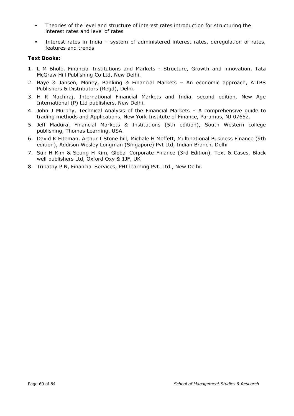- Theories of the level and structure of interest rates introduction for structuring the interest rates and level of rates
- Interest rates in India system of administered interest rates, deregulation of rates, features and trends.

## **Text Books:**

- 1. L M Bhole, Financial Institutions and Markets Structure, Growth and innovation, Tata McGraw Hill Publishing Co Ltd, New Delhi.
- 2. Baye & Jansen, Money, Banking & Financial Markets An economic approach, AITBS Publishers & Distributors (Regd), Delhi.
- 3. H R Machiraj, International Financial Markets and India, second edition. New Age International (P) Ltd publishers, New Delhi.
- 4. John J Murphy, Technical Analysis of the Financial Markets A comprehensive guide to trading methods and Applications, New York Institute of Finance, Paramus, NJ 07652.
- 5. Jeff Madura, Financial Markets & Institutions (5th edition), South Western college publishing, Thomas Learning, USA.
- 6. David K Eiteman, Arthur I Stone hill, Michale H Moffett, Multinational Business Finance (9th edition), Addison Wesley Longman (Singapore) Pvt Ltd, Indian Branch, Delhi
- 7. Suk H Kim & Seung H Kim, Global Corporate Finance (3rd Edition), Text & Cases, Black well publishers Ltd, Oxford Oxy & 1JF, UK
- 8. Tripathy P N, Financial Services, PHI learning Pvt. Ltd., New Delhi.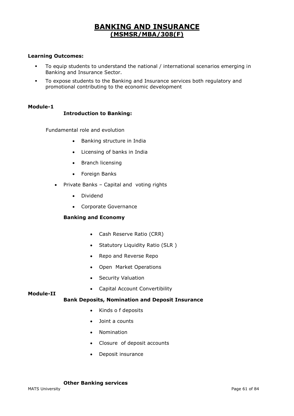# **BANKING AND INSURANCE (MSMSR/MBA/308(F)**

## **Learning Outcomes:**

- To equip students to understand the national / international scenarios emerging in Banking and Insurance Sector.
- To expose students to the Banking and Insurance services both regulatory and promotional contributing to the economic development

#### **Module-1**

### **Introduction to Banking:**

Fundamental role and evolution

- Banking structure in India
- Licensing of banks in India
- Branch licensing
- Foreign Banks
- Private Banks Capital and voting rights
	- Dividend
	- Corporate Governance

### **Banking and Economy**

- Cash Reserve Ratio (CRR)
- Statutory Liquidity Ratio (SLR )
- Repo and Reverse Repo
- Open Market Operations
- Security Valuation
- Capital Account Convertibility

### **Module-II**

### **Bank Deposits, Nomination and Deposit Insurance**

- Kinds o f deposits
- Joint a counts
- Nomination
- Closure of deposit accounts
- Deposit insurance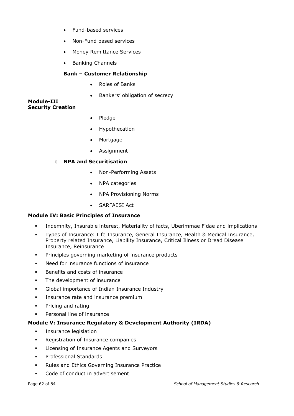- Fund-based services
- Non-Fund based services
- Money Remittance Services
- Banking Channels

## **Bank – Customer Relationship**

- Roles of Banks
- Bankers' obligation of secrecy

#### **Module-III Security Creation**

- Pledge
- **Hypothecation**
- **Mortgage**
- Assignment

## o **NPA and Securitisation**

- Non-Performing Assets
- NPA categories
- NPA Provisioning Norms
- SARFAESI Act

### **Module IV: Basic Principles of Insurance**

- Indemnity, Insurable interest, Materiality of facts, Uberimmae Fidae and implications
- Types of Insurance: Life Insurance, General Insurance, Health & Medical Insurance, Property related Insurance, Liability Insurance, Critical Illness or Dread Disease Insurance, Reinsurance
- **•** Principles governing marketing of insurance products
- Need for insurance functions of insurance
- Benefits and costs of insurance
- **•** The development of insurance
- Global importance of Indian Insurance Industry
- **•** Insurance rate and insurance premium
- Pricing and rating
- Personal line of insurance

### **Module V: Insurance Regulatory & Development Authority (IRDA)**

- **·** Insurance legislation
- Registration of Insurance companies
- Licensing of Insurance Agents and Surveyors
- Professional Standards
- Rules and Ethics Governing Insurance Practice
- Code of conduct in advertisement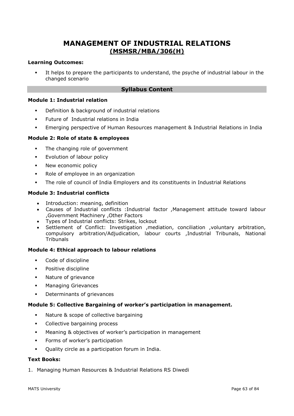# **MANAGEMENT OF INDUSTRIAL RELATIONS (MSMSR/MBA/306(H)**

### **Learning Outcomes:**

It helps to prepare the participants to understand, the psyche of industrial labour in the changed scenario

## **Syllabus Content**

#### **Module 1: Industrial relation**

- Definition & background of industrial relations
- Future of Industrial relations in India
- Emerging perspective of Human Resources management & Industrial Relations in India

### **Module 2: Role of state & employees**

- **•** The changing role of government
- **Explution of labour policy**
- **New economic policy**
- Role of employee in an organization
- The role of council of India Employers and its constituents in Industrial Relations

### **Module 3: Industrial conflicts**

- Introduction: meaning, definition
- Causes of Industrial conflicts :Industrial factor ,Management attitude toward labour ,Government Machinery ,Other Factors
- Types of Industrial conflicts: Strikes, lockout
- Settlement of Conflict: Investigation ,mediation, conciliation ,voluntary arbitration, compulsory arbitration/Adjudication, labour courts ,Industrial Tribunals, National **Tribunals**

### **Module 4: Ethical approach to labour relations**

- Code of discipline
- Positive discipline
- Nature of grievance
- Managing Grievances
- Determinants of grievances

### **Module 5: Collective Bargaining of worker's participation in management.**

- Nature & scope of collective bargaining
- Collective bargaining process
- Meaning & objectives of worker's participation in management
- **•** Forms of worker's participation
- Quality circle as a participation forum in India.

## **Text Books:**

1. Managing Human Resources & Industrial Relations RS Diwedi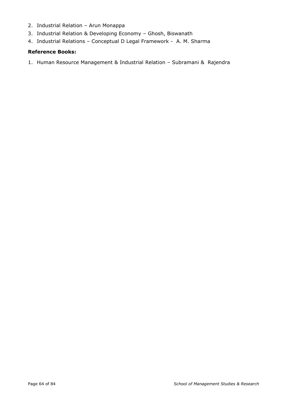- 2. Industrial Relation Arun Monappa
- 3. Industrial Relation & Developing Economy Ghosh, Biswanath
- 4. Industrial Relations Conceptual D Legal Framework A. M. Sharma

## **Reference Books:**

1. Human Resource Management & Industrial Relation – Subramani & Rajendra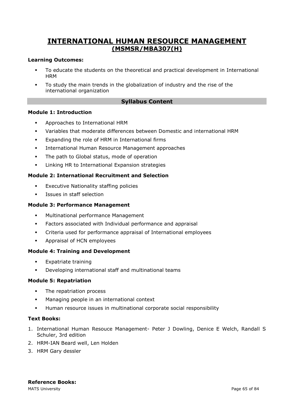# **INTERNATIONAL HUMAN RESOURCE MANAGEMENT (MSMSR/MBA307(H)**

## **Learning Outcomes:**

- To educate the students on the theoretical and practical development in International **HRM**
- To study the main trends in the globalization of industry and the rise of the international organization

## **Syllabus Content**

## **Module 1: Introduction**

- Approaches to International HRM
- Variables that moderate differences between Domestic and international HRM
- Expanding the role of HRM in International firms
- International Human Resource Management approaches
- The path to Global status, mode of operation
- Linking HR to International Expansion strategies

## **Module 2: International Recruitment and Selection**

- **Executive Nationality staffing policies**
- Issues in staff selection

## **Module 3: Performance Management**

- Multinational performance Management
- **•** Factors associated with Individual performance and appraisal
- Criteria used for performance appraisal of International employees
- Appraisal of HCN employees

### **Module 4: Training and Development**

- Expatriate training
- Developing international staff and multinational teams

### **Module 5: Repatriation**

- **•** The repatriation process
- Managing people in an international context
- Human resource issues in multinational corporate social responsibility

### **Text Books:**

- 1. International Human Resouce Management- Peter J Dowling, Denice E Welch, Randall S Schuler, 3rd edition
- 2. HRM-IAN Beard well, Len Holden
- 3. HRM Gary dessler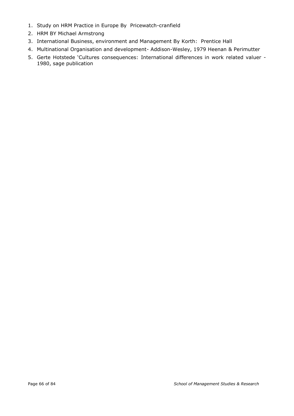- 1. Study on HRM Practice in Europe By Pricewatch-cranfield
- 2. HRM BY Michael Armstrong
- 3. International Business, environment and Management By Korth: Prentice Hall
- 4. Multinational Organisation and development- Addison-Wesley, 1979 Heenan & Perimutter
- 5. Gerte Hotstede 'Cultures consequences: International differences in work related valuer 1980, sage publication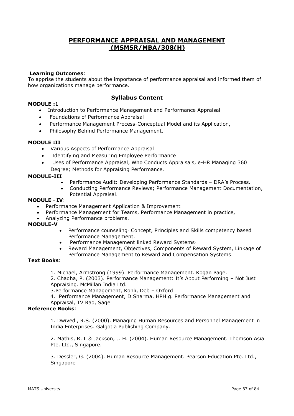## **PERFORMANCE APPRAISAL AND MANAGEMENT (MSMSR/MBA/308(H)**

### **Learning Outcomes**:

To apprise the students about the importance of performance appraisal and informed them of how organizations manage performance.

#### **MODULE :1**

## **Syllabus Content**

- Introduction to Performance Management and Performance Appraisal
- Foundations of Performance Appraisal
- Performance Management Process-Conceptual Model and its Application,
- Philosophy Behind Performance Management.

#### **MODULE :II**

- Various Aspects of Performance Appraisal
- Identifying and Measuring Employee Performance
- Uses of Performance Appraisal, Who Conducts Appraisals, e-HR Managing 360
- Degree; Methods for Appraising Performance.

#### **MODULE-III**

- Performance Audit: Developing Performance Standards DRA's Process.
- Conducting Performance Reviews; Performance Management Documentation, Potential Appraisal.

### **MODULE** ‐ **IV**:

- Performance Management Application & Improvement
- Performance Management for Teams, Performance Management in practice,
- Analyzing Performance problems.

#### **MODULE-V**

- Performance counseling‐ Concept, Principles and Skills competency based Performance Management.
- Performance Management linked Reward Systems‐
- Reward Management, Objectives, Components of Reward System, Linkage of Performance Management to Reward and Compensation Systems.

#### **Text Books**:

1. Michael, Armstrong (1999). Performance Management. Kogan Page.

2. Chadha, P. (2003). Performance Management: It's About Performing – Not Just Appraising. McMillan India Ltd.

3.Performance Management, Kohli, Deb – Oxford

4. Performance Management, D Sharma, HPH g. Performance Management and Appraisal, TV Rao, Sage

### **Reference Books**:

1. Dwivedi, R.S. (2000). Managing Human Resources and Personnel Management in India Enterprises. Galgotia Publishing Company.

2. Mathis, R. L & Jackson, J. H. (2004). Human Resource Management. Thomson Asia Pte. Ltd., Singapore.

3. Dessler, G. (2004). Human Resource Management. Pearson Education Pte. Ltd., Singapore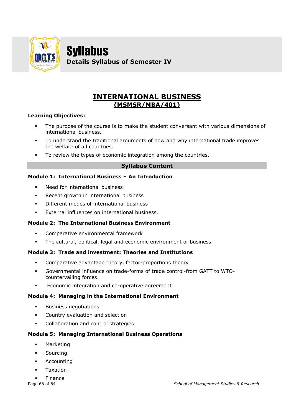

Syllabus **Details Syllabus of Semester IV**

# **INTERNATIONAL BUSINESS (MSMSR/MBA/401)**

## **Learning Objectives:**

- The purpose of the course is to make the student conversant with various dimensions of international business.
- To understand the traditional arguments of how and why international trade improves the welfare of all countries.
- To review the types of economic integration among the countries.

## **Syllabus Content**

## **Module 1: International Business – An Introduction**

- Need for international business
- Recent growth in international business
- Different modes of international business
- **•** External influences on international business.

## **Module 2: The International Business Environment**

- Comparative environmental framework
- The cultural, political, legal and economic environment of business.

## **Module 3: Trade and investment: Theories and Institutions**

- Comparative advantage theory, factor-proportions theory
- Governmental influence on trade-forms of trade control-from GATT to WTOcountervailing forces.
- Economic integration and co-operative agreement

## **Module 4: Managing in the International Environment**

- Business negotiations
- Country evaluation and selection
- Collaboration and control strategies

## **Module 5: Managing International Business Operations**

- Marketing
- Sourcing
- Accounting
- Taxation
- **Finance**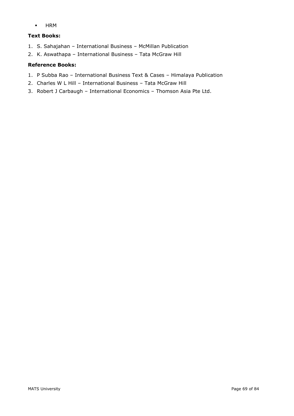▪ HRM

## **Text Books:**

- 1. S. Sahajahan International Business McMillan Publication
- 2. K. Aswathapa International Business Tata McGraw Hill

## **Reference Books:**

- 1. P Subba Rao International Business Text & Cases Himalaya Publication
- 2. Charles W L Hill International Business Tata McGraw Hill
- 3. Robert J Carbaugh International Economics Thomson Asia Pte Ltd.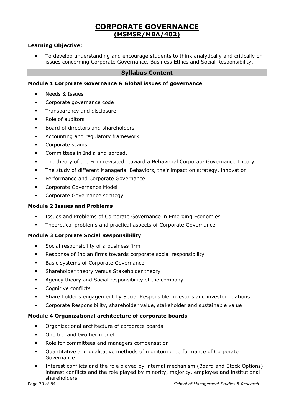# **CORPORATE GOVERNANCE (MSMSR/MBA/402)**

## **Learning Objective:**

▪ To develop understanding and encourage students to think analytically and critically on issues concerning Corporate Governance, Business Ethics and Social Responsibility.

## **Syllabus Content**

## **Module 1 Corporate Governance & Global issues of governance**

- Needs & Issues
- Corporate governance code
- **•** Transparency and disclosure
- Role of auditors
- Board of directors and shareholders
- Accounting and regulatory framework
- Corporate scams
- Committees in India and abroad.
- **•** The theory of the Firm revisited: toward a Behavioral Corporate Governance Theory
- **The study of different Managerial Behaviors, their impact on strategy, innovation**
- **•** Performance and Corporate Governance
- **Corporate Governance Model**
- **•** Corporate Governance strategy

## **Module 2 Issues and Problems**

- **•** Issues and Problems of Corporate Governance in Emerging Economies
- Theoretical problems and practical aspects of Corporate Governance

### **Module 3 Corporate Social Responsibility**

- Social responsibility of a business firm
- Response of Indian firms towards corporate social responsibility
- Basic systems of Corporate Governance
- **EXECT:** Shareholder theory versus Stakeholder theory
- Agency theory and Social responsibility of the company
- Cognitive conflicts
- Share holder's engagement by Social Responsible Investors and investor relations
- Corporate Responsibility, shareholder value, stakeholder and sustainable value

### **Module 4 Organizational architecture of corporate boards**

- Organizational architecture of corporate boards
- One tier and two tier model
- Role for committees and managers compensation
- Quantitative and qualitative methods of monitoring performance of Corporate Governance
- Interest conflicts and the role played by internal mechanism (Board and Stock Options) interest conflicts and the role played by minority, majority, employee and institutional shareholders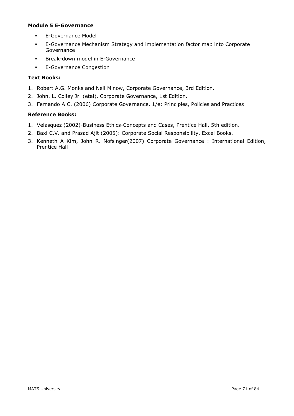## **Module 5 E-Governance**

- **•** E-Governance Model
- E-Governance Mechanism Strategy and implementation factor map into Corporate Governance
- Break-down model in E-Governance
- **•** E-Governance Congestion

## **Text Books:**

- 1. Robert A.G. Monks and Nell Minow, Corporate Governance, 3rd Edition.
- 2. John. L. Colley Jr. (etal), Corporate Governance, 1st Edition.
- 3. Fernando A.C. (2006) Corporate Governance, 1/e: Principles, Policies and Practices

## **Reference Books:**

- 1. Velasquez (2002)-Business Ethics-Concepts and Cases, Prentice Hall, 5th edition.
- 2. Baxi C.V. and Prasad Ajit (2005): Corporate Social Responsibility, Excel Books.
- 3. [Kenneth A Kim,](http://www.pearson.ch/autor/16149/Kenneth-A-Kim.aspx) [John R. Nofsinger\(](http://www.pearson.ch/autor/16150/John-R-Nofsinger.aspx)2007) Corporate Governance : International Edition, Prentice Hall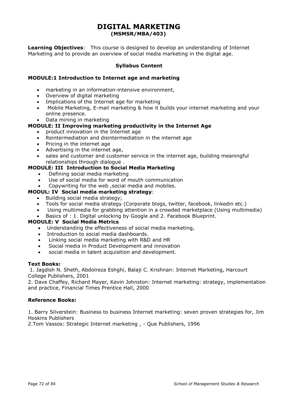## **DIGITAL MARKETING (MSMSR/MBA/403)**

**Learning Objectives**: This course is designed to develop an understanding of Internet Marketing and to provide an overview of social media marketing in the digital age.

## **Syllabus Content**

## **MODULE:1 Introduction to Internet age and marketing**

- marketing in an information-intensive environment,
- Overview of digital marketing
- Implications of the Internet age for marketing
- Mobile Marketing, E-mail marketing & how it builds your internet marketing and your online presence.
- Data mining in marketing

## **MODULE: II Improving marketing productivity in the Internet Age**

- product innovation in the Internet age
- Reintermediation and disintermediation in the internet age
- Pricing in the internet age
- Advertising in the internet age,
- sales and customer and customer service in the internet age, building meaningful relationships through dialogue .

## **MODULE: III Introduction to Social Media Marketing**

- Defining social media marketing
- Use of social media for word of mouth communication
- Copywriting for the web ,social media and mobiles.

## **MODUL: IV Social media marketing strategy**:

- Building social media strategy;
- Tools for social media strategy (Corporate blogs, twitter, facebook, linkedin etc.)
- Using multimedia for grabbing attention in a crowded marketplace (Using multimedia)

### • Basics of : 1. Digital unlocking by Google and 2. Facebook Blueprint.

### **MODULE: V Social Media Metrics**

- Understanding the effectiveness of social media marketing,
- Introduction to social media dashboards.
- Linking social media marketing with R&D and HR
- Social media in Product Development and innovation
- social media in talent acquisition and development.

### **Text Books:**

1. Jagdish N. Sheth, Abdolreza Eshghi, Balaji C. Krishnan: Internet Marketing, Harcourt College Publishers, 2001

2. Dave Chaffey, Richard Mayer, Kevin Johnston: Internet marketing: strategy, implementation and practice, Financial Times Prentice Hall, 2000

### **Reference Books:**

1. Barry Silverstein: Business to business Internet marketing: seven proven strategies for, Jim Hoskins Publishers

2.Tom Vassos: Strategic Internet marketing , - Que Publishers, 1996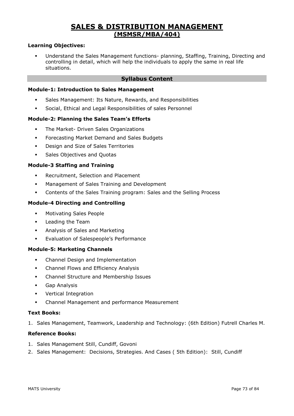## **SALES & DISTRIBUTION MANAGEMENT (MSMSR/MBA/404)**

#### **Learning Objectives:**

▪ Understand the Sales Management functions- planning, Staffing, Training, Directing and controlling in detail, which will help the individuals to apply the same in real life situations.

### **Syllabus Content**

#### **Module-1: Introduction to Sales Management**

- Sales Management: Its Nature, Rewards, and Responsibilities
- Social, Ethical and Legal Responsibilities of sales Personnel

#### **Module-2: Planning the Sales Team's Efforts**

- The Market- Driven Sales Organizations
- **Forecasting Market Demand and Sales Budgets**
- Design and Size of Sales Territories
- Sales Objectives and Quotas

#### **Module-3 Staffing and Training**

- Recruitment, Selection and Placement
- Management of Sales Training and Development
- Contents of the Sales Training program: Sales and the Selling Process

#### **Module-4 Directing and Controlling**

- Motivating Sales People
- Leading the Team
- Analysis of Sales and Marketing
- Evaluation of Salespeople's Performance

#### **Module-5: Marketing Channels**

- Channel Design and Implementation
- **•** Channel Flows and Efficiency Analysis
- Channel Structure and Membership Issues
- Gap Analysis
- Vertical Integration
- Channel Management and performance Measurement

#### **Text Books:**

1. Sales Management, Teamwork, Leadership and Technology: (6th Edition) Futrell Charles M.

- 1. Sales Management Still, Cundiff, Govoni
- 2. Sales Management: Decisions, Strategies. And Cases ( 5th Edition): Still, Cundiff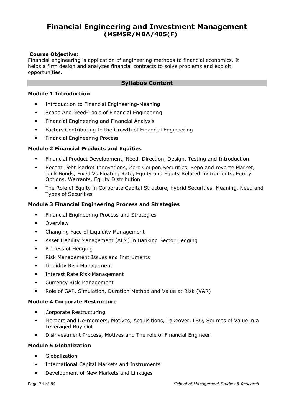# **Financial Engineering and Investment Management (MSMSR/MBA/405(F)**

#### **Course Objective:**

Financial engineering is application of engineering methods to financial economics. It helps a firm design and analyzes financial contracts to solve problems and exploit opportunities.

#### **Syllabus Content**

#### **Module 1 Introduction**

- **•** Introduction to Financial Engineering-Meaning
- **Scope And Need-Tools of Financial Engineering**
- **•** Financial Engineering and Financial Analysis
- **EXECT** Factors Contributing to the Growth of Financial Engineering
- **•** Financial Engineering Process

## **Module 2 Financial Products and Equities**

- Financial Product Development, Need, Direction, Design, Testing and Introduction.
- Recent Debt Market Innovations, Zero Coupon Securities, Repo and reverse Market, Junk Bonds, Fixed Vs Floating Rate, Equity and Equity Related Instruments, Equity Options, Warrants, Equity Distribution
- The Role of Equity in Corporate Capital Structure, hybrid Securities, Meaning, Need and Types of Securities

#### **Module 3 Financial Engineering Process and Strategies**

- **•** Financial Engineering Process and Strategies
- **Overview**
- Changing Face of Liquidity Management
- Asset Liability Management (ALM) in Banking Sector Hedging
- **•** Process of Hedging
- Risk Management Issues and Instruments
- Liquidity Risk Management
- Interest Rate Risk Management
- Currency Risk Management
- Role of GAP, Simulation, Duration Method and Value at Risk (VAR)

#### **Module 4 Corporate Restructure**

- Corporate Restructuring
- Mergers and De-mergers, Motives, Acquisitions, Takeover, LBO, Sources of Value in a Leveraged Buy Out
- Disinvestment Process, Motives and The role of Financial Engineer.

#### **Module 5 Globalization**

- Globalization
- International Capital Markets and Instruments
- Development of New Markets and Linkages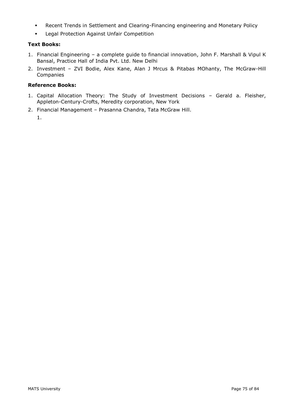- Recent Trends in Settlement and Clearing-Financing engineering and Monetary Policy
- Legal Protection Against Unfair Competition

## **Text Books:**

- 1. Financial Engineering a complete guide to financial innovation, John F. Marshall & Vipul K Bansal, Practice Hall of India Pvt. Ltd. New Delhi
- 2. Investment ZVI Bodie, Alex Kane, Alan J Mrcus & Pitabas MOhanty, The McGraw-Hill Companies

- 1. Capital Allocation Theory: The Study of Investment Decisions Gerald a. Fleisher, Appleton-Century-Crofts, Meredity corporation, New York
- 2. Financial Management Prasanna Chandra, Tata McGraw Hill.
	- 1.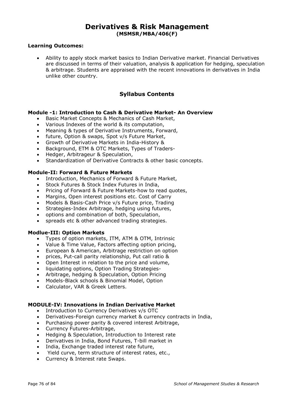## **Derivatives & Risk Management (MSMSR/MBA/406(F)**

#### **Learning Outcomes:**

• Ability to apply stock market basics to Indian Derivative market. Financial Derivatives are discussed in terms of their valuation, analysis & application for hedging, speculation & arbitrage. Students are appraised with the recent innovations in derivatives in India unlike other country.

## **Syllabus Contents**

#### **Module -1: Introduction to Cash & Derivative Market- An Overview**

- Basic Market Concepts & Mechanics of Cash Market,
- Various Indexes of the world & its computation,
- Meaning & types of Derivative Instruments, Forward,
- future, Option & swaps, Spot v/s Future Market,
- Growth of Derivative Markets in India-History &
- Background, ETM & OTC Markets, Types of Traders-
- Hedger, Arbitrageur & Speculation,
- Standardization of Derivative Contracts & other basic concepts.

#### **Module-II: Forward & Future Markets**

- Introduction, Mechanics of Forward & Future Market,
- Stock Futures & Stock Index Futures in India,
- Pricing of Forward & Future Markets-how to read quotes,
- Margins, Open interest positions etc. Cost of Carry
- Models & Basis-Cash Price v/s Future price, Trading
- Strategies-Index Arbitrage, hedging using futures,
- options and combination of both, Speculation,
- spreads etc & other advanced trading strategies.

#### **Modlue-III: Option Markets**

- Types of option markets, ITM, ATM & OTM, Intrinsic
- Value & Time Value, Factors affecting option pricing,
- European & American, Arbitrage restriction on option
- prices, Put-call parity relationship, Put call ratio &
- Open Interest in relation to the price and volume,<br>• liquidating options. Option Trading Strategies-
- liquidating options, Option Trading Strategies-
- Arbitrage, hedging & Speculation, Option Pricing
- Models-Black schools & Binomial Model, Option
- Calculator, VAR & Greek Letters.

#### **MODULE-IV: Innovations in Indian Derivative Market**

- Introduction to Currency Derivatives v/s OTC
- Derivatives-Foreign currency market & currency contracts in India,
- Purchasing power parity & covered interest Arbitrage,
- Currency Futures-Arbitrage,
- Hedging & Speculation, Introduction to Interest rate
- Derivatives in India, Bond Futures, T-bill market in
- India, Exchange traded interest rate future,
- Yield curve, term structure of interest rates, etc.,
- Currency & Interest rate Swaps.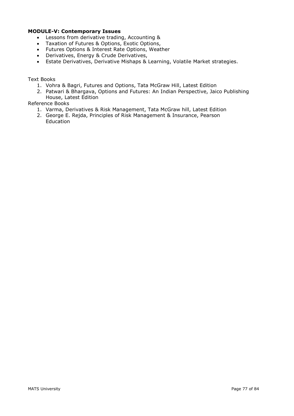## **MODULE-V: Contemporary Issues**

- Lessons from derivative trading, Accounting &
- Taxation of Futures & Options, Exotic Options,
- Futures Options & Interest Rate Options, Weather
- Derivatives, Energy & Crude Derivatives,
- Estate Derivatives, Derivative Mishaps & Learning, Volatile Market strategies.

#### Text Books

- 1. Vohra & Bagri, Futures and Options, Tata McGraw Hill, Latest Edition
- 2. Patwari & Bhargava, Options and Futures: An Indian Perspective, Jaico Publishing House, Latest Edition

- 1. Varma, Derivatives & Risk Management, Tata McGraw hill, Latest Edition
- 2. George E. Rejda, Principles of Risk Management & Insurance, Pearson Education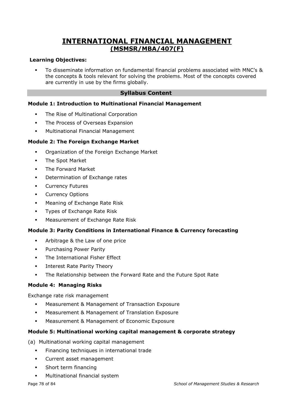## **INTERNATIONAL FINANCIAL MANAGEMENT (MSMSR/MBA/407(F)**

#### **Learning Objectives:**

To disseminate information on fundamental financial problems associated with MNC's & the concepts & tools relevant for solving the problems. Most of the concepts covered are currently in use by the firms globally.

## **Syllabus Content**

#### **Module 1: Introduction to Multinational Financial Management**

- **•** The Rise of Multinational Corporation
- **•** The Process of Overseas Expansion
- Multinational Financial Management

#### **Module 2: The Foreign Exchange Market**

- Organization of the Foreign Exchange Market
- The Spot Market
- The Forward Market
- Determination of Exchange rates
- **Currency Futures**
- **•** Currency Options
- **■** Meaning of Exchange Rate Risk
- **•** Types of Exchange Rate Risk
- **■** Measurement of Exchange Rate Risk

#### **Module 3: Parity Conditions in International Finance & Currency forecasting**

- Arbitrage & the Law of one price
- **•** Purchasing Power Parity
- The International Fisher Effect
- Interest Rate Parity Theory
- The Relationship between the Forward Rate and the Future Spot Rate

#### **Module 4: Managing Risks**

Exchange rate risk management

- Measurement & Management of Transaction Exposure
- Measurement & Management of Translation Exposure
- Measurement & Management of Economic Exposure

#### **Module 5: Multinational working capital management & corporate strategy**

(a) Multinational working capital management

- Financing techniques in international trade
- Current asset management
- **•** Short term financing
- Multinational financial system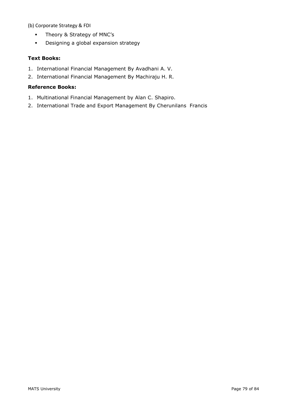(b) Corporate Strategy & FDI

- Theory & Strategy of MNC's
- Designing a global expansion strategy

### **Text Books:**

- 1. International Financial Management By Avadhani A. V.
- 2. International Financial Management By Machiraju H. R.

- 1. Multinational Financial Management by Alan C. Shapiro.
- 2. International Trade and Export Management By Cherunilans Francis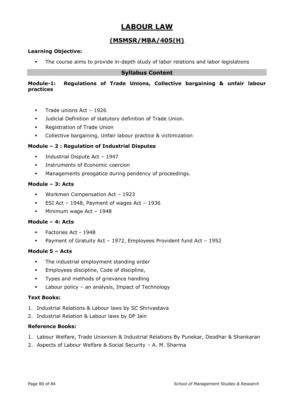# **LABOUR LAW**

## **(MSMSR/MBA/405(H)**

## **Learning Objective:**

The course aims to provide in-depth study of labor relations and labor legislations

## **Syllabus Content**

### **Module-1: Regulations of Trade Unions, Collective bargaining & unfair labour practices**

- **·** Trade unions Act 1926
- Judicial Definition of statutory definition of Trade Union.
- Registration of Trade Union
- Collective bargaining, Unfair labour practice & victimization

#### **Module – 2 : Regulation of Industrial Disputes**

- Industrial Dispute Act 1947
- **•** Instruments of Economic coercion
- Managements preogatice during pendency of proceedings.

#### **Module – 3: Acts**

- Workmen Compensation Act 1923
- ESI Act 1948, Payment of wages Act 1936
- **■** Minimum wage Act 1948

#### **Module – 4: Acts**

- Factories Act 1948
- Payment of Gratuity Act 1972, Employees Provident fund Act 1952

#### **Module 5 – Acts**

- **•** The industrial employment standing order
- **Employees discipline, Code of discipline,**
- Types and methods of grievance handling
- Labour policy an analysis, Impact of Technology

#### **Text Books:**

- 1. Industrial Relations & Labour laws by SC Shrivastava
- 2. Industrial Relation & Labour laws by DP Jain

- 1. Labour Welfare, Trade Unionism & Industrial Relations By Punekar, Deodhar & Shankaran
- 2. Aspects of Labour Welfare & Social Security A. M. Sharma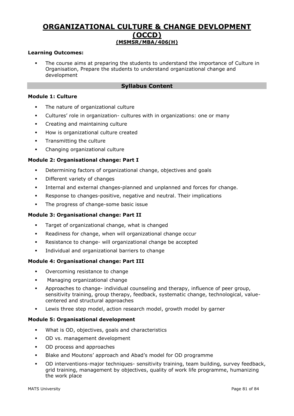## **ORGANIZATIONAL CULTURE & CHANGE DEVLOPMENT (OCCD) (MSMSR/MBA/406(H)**

#### **Learning Outcomes:**

The course aims at preparing the students to understand the importance of Culture in Organisation, Prepare the students to understand organizational change and development

### **Syllabus Content**

## **Module 1: Culture**

- The nature of organizational culture
- Cultures' role in organization- cultures with in organizations: one or many
- Creating and maintaining culture
- How is organizational culture created
- **•** Transmitting the culture
- Changing organizational culture

#### **Module 2: Organisational change: Part I**

- Determining factors of organizational change, objectives and goals
- Different variety of changes
- Internal and external changes-planned and unplanned and forces for change.
- Response to changes-positive, negative and neutral. Their implications
- **•** The progress of change-some basic issue

#### **Module 3: Organisational change: Part II**

- Target of organizational change, what is changed
- Readiness for change, when will organizational change occur
- Resistance to change- will organizational change be accepted
- Individual and organizational barriers to change

#### **Module 4: Organisational change: Part III**

- Overcoming resistance to change
- Managing organizational change
- Approaches to change- individual counseling and therapy, influence of peer group, sensitivity training, group therapy, feedback, systematic change, technological, valuecentered and structural approaches
- Lewis three step model, action research model, growth model by garner

#### **Module 5: Organisational development**

- What is OD, objectives, goals and characteristics
- OD vs. management development
- OD process and approaches
- Blake and Moutons' approach and Abad's model for OD programme
- OD interventions-major techniques- sensitivity training, team building, survey feedback, grid training, management by objectives, quality of work life programme, humanizing the work place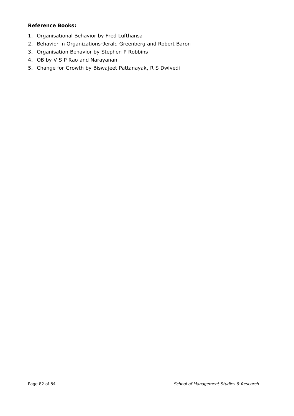- 1. Organisational Behavior by Fred Lufthansa
- 2. Behavior in Organizations-Jerald Greenberg and Robert Baron
- 3. Organisation Behavior by Stephen P Robbins
- 4. OB by V S P Rao and Narayanan
- 5. Change for Growth by Biswajeet Pattanayak, R S Dwivedi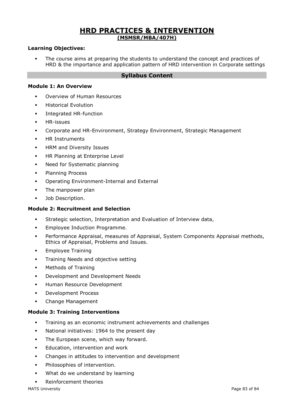## **HRD PRACTICES & INTERVENTION (MSMSR/MBA/407H)**

#### **Learning Objectives:**

The course aims at preparing the students to understand the concept and practices of HRD & the importance and application pattern of HRD intervention in Corporate settings

#### **Syllabus Content**

#### **Module 1: An Overview**

- Overview of Human Resources
- **Historical Evolution**
- **■** Integrated HR-function
- HR-issues
- Corporate and HR-Environment, Strategy Environment, Strategic Management
- **HR Instruments**
- **HRM and Diversity Issues**
- **HR Planning at Enterprise Level**
- Need for Systematic planning
- **•** Planning Process
- Operating Environment-Internal and External
- **•** The manpower plan
- Job Description.

#### **Module 2: Recruitment and Selection**

- Strategic selection, Interpretation and Evaluation of Interview data,
- **Employee Induction Programme.**
- Performance Appraisal, measures of Appraisal, System Components Appraisal methods, Ethics of Appraisal, Problems and Issues.
- **•** Employee Training
- **•** Training Needs and objective setting
- Methods of Training
- Development and Development Needs
- **Human Resource Development**
- Development Process
- Change Management

#### **Module 3: Training Interventions**

- Training as an economic instrument achievements and challenges
- National initiatives: 1964 to the present day
- **•** The European scene, which way forward.
- **Education, intervention and work**
- Changes in attitudes to intervention and development
- Philosophies of intervention.
- What do we understand by learning
- Reinforcement theories